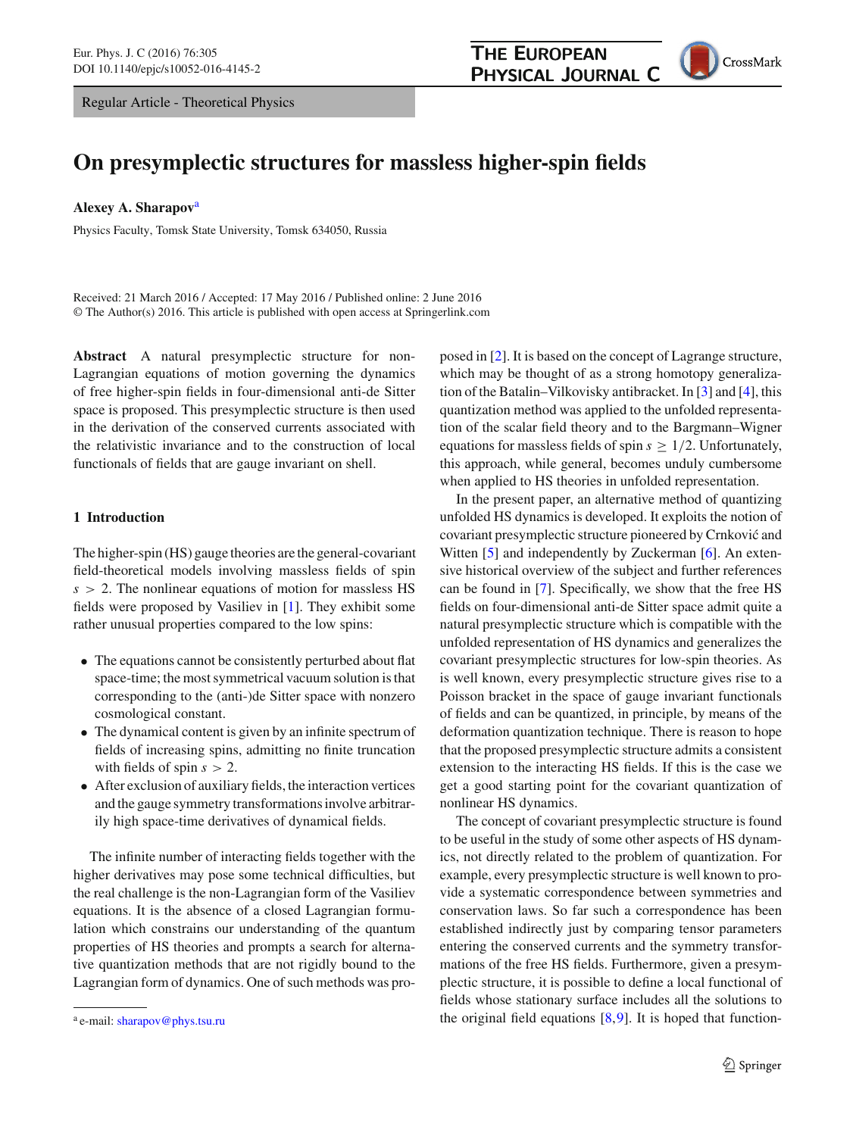Regular Article - Theoretical Physics



# **On presymplectic structures for massless higher-spin fields**

**Alexey A. Sharapov**<sup>a</sup>

Physics Faculty, Tomsk State University, Tomsk 634050, Russia

Received: 21 March 2016 / Accepted: 17 May 2016 / Published online: 2 June 2016 © The Author(s) 2016. This article is published with open access at Springerlink.com

**Abstract** A natural presymplectic structure for non-Lagrangian equations of motion governing the dynamics of free higher-spin fields in four-dimensional anti-de Sitter space is proposed. This presymplectic structure is then used in the derivation of the conserved currents associated with the relativistic invariance and to the construction of local functionals of fields that are gauge invariant on shell.

## **1 Introduction**

The higher-spin (HS) gauge theories are the general-covariant field-theoretical models involving massless fields of spin *s* > 2. The nonlinear equations of motion for massless HS fields were proposed by Vasiliev in [\[1](#page-14-0)]. They exhibit some rather unusual properties compared to the low spins:

- The equations cannot be consistently perturbed about flat space-time; the most symmetrical vacuum solution is that corresponding to the (anti-)de Sitter space with nonzero cosmological constant.
- The dynamical content is given by an infinite spectrum of fields of increasing spins, admitting no finite truncation with fields of spin  $s > 2$ .
- After exclusion of auxiliary fields, the interaction vertices and the gauge symmetry transformations involve arbitrarily high space-time derivatives of dynamical fields.

The infinite number of interacting fields together with the higher derivatives may pose some technical difficulties, but the real challenge is the non-Lagrangian form of the Vasiliev equations. It is the absence of a closed Lagrangian formulation which constrains our understanding of the quantum properties of HS theories and prompts a search for alternative quantization methods that are not rigidly bound to the Lagrangian form of dynamics. One of such methods was proposed in [\[2](#page-14-1)]. It is based on the concept of Lagrange structure, which may be thought of as a strong homotopy generalization of the Batalin–Vilkovisky antibracket. In [\[3\]](#page-14-2) and [\[4](#page-14-3)], this quantization method was applied to the unfolded representation of the scalar field theory and to the Bargmann–Wigner equations for massless fields of spin  $s \geq 1/2$ . Unfortunately, this approach, while general, becomes unduly cumbersome when applied to HS theories in unfolded representation.

In the present paper, an alternative method of quantizing unfolded HS dynamics is developed. It exploits the notion of covariant presymplectic structure pioneered by Crnković and Witten [\[5](#page-14-4)] and independently by Zuckerman [\[6\]](#page-14-5). An extensive historical overview of the subject and further references can be found in [\[7\]](#page-14-6). Specifically, we show that the free HS fields on four-dimensional anti-de Sitter space admit quite a natural presymplectic structure which is compatible with the unfolded representation of HS dynamics and generalizes the covariant presymplectic structures for low-spin theories. As is well known, every presymplectic structure gives rise to a Poisson bracket in the space of gauge invariant functionals of fields and can be quantized, in principle, by means of the deformation quantization technique. There is reason to hope that the proposed presymplectic structure admits a consistent extension to the interacting HS fields. If this is the case we get a good starting point for the covariant quantization of nonlinear HS dynamics.

The concept of covariant presymplectic structure is found to be useful in the study of some other aspects of HS dynamics, not directly related to the problem of quantization. For example, every presymplectic structure is well known to provide a systematic correspondence between symmetries and conservation laws. So far such a correspondence has been established indirectly just by comparing tensor parameters entering the conserved currents and the symmetry transformations of the free HS fields. Furthermore, given a presymplectic structure, it is possible to define a local functional of fields whose stationary surface includes all the solutions to the original field equations  $[8,9]$  $[8,9]$  $[8,9]$ . It is hoped that function-

<sup>&</sup>lt;sup>a</sup> e-mail: [sharapov@phys.tsu.ru](mailto:sharapov@phys.tsu.ru)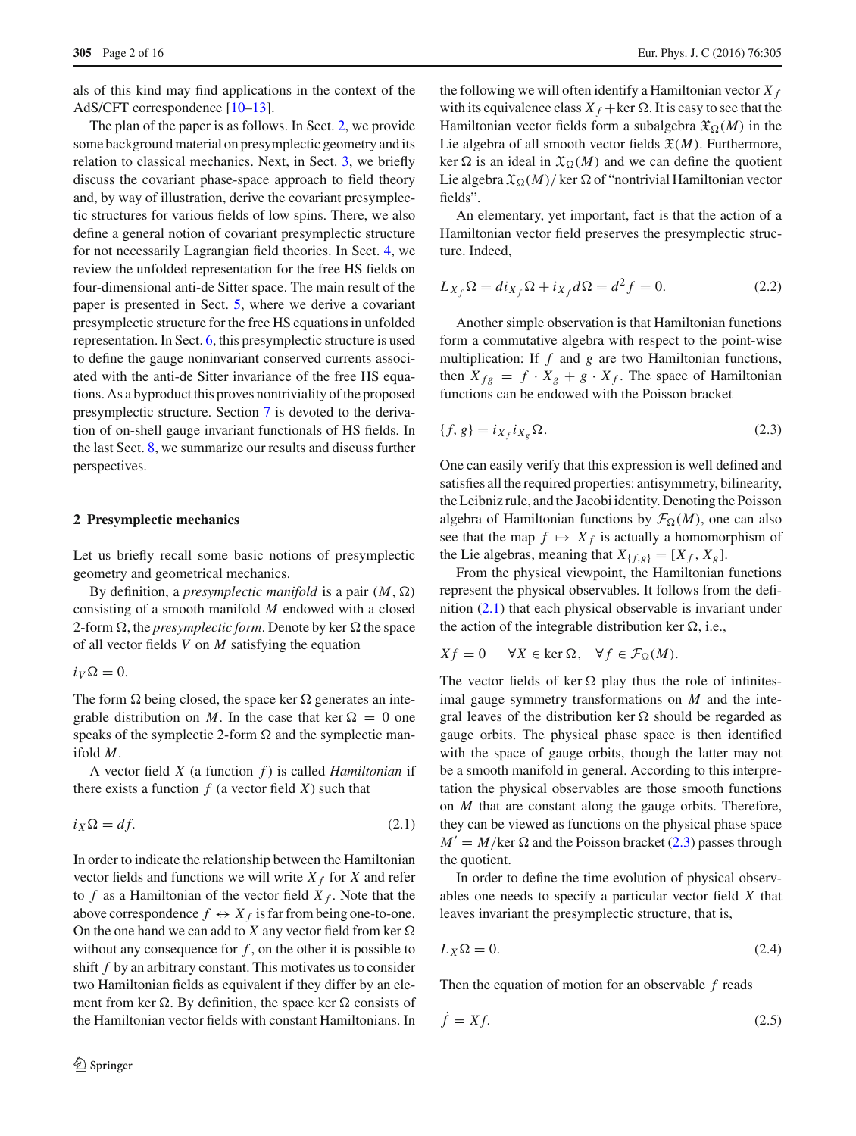als of this kind may find applications in the context of the AdS/CFT correspondence [\[10](#page-14-9)[–13\]](#page-14-10).

The plan of the paper is as follows. In Sect. [2,](#page-1-0) we provide some background material on presymplectic geometry and its relation to classical mechanics. Next, in Sect. [3,](#page-2-0) we briefly discuss the covariant phase-space approach to field theory and, by way of illustration, derive the covariant presymplectic structures for various fields of low spins. There, we also define a general notion of covariant presymplectic structure for not necessarily Lagrangian field theories. In Sect. [4,](#page-5-0) we review the unfolded representation for the free HS fields on four-dimensional anti-de Sitter space. The main result of the paper is presented in Sect. [5,](#page-8-0) where we derive a covariant presymplectic structure for the free HS equations in unfolded representation. In Sect. [6,](#page-10-0) this presymplectic structure is used to define the gauge noninvariant conserved currents associated with the anti-de Sitter invariance of the free HS equations. As a byproduct this proves nontriviality of the proposed presymplectic structure. Section [7](#page-12-0) is devoted to the derivation of on-shell gauge invariant functionals of HS fields. In the last Sect. [8,](#page-14-11) we summarize our results and discuss further perspectives.

### <span id="page-1-0"></span>**2 Presymplectic mechanics**

Let us briefly recall some basic notions of presymplectic geometry and geometrical mechanics.

By definition, a *presymplectic manifold* is a pair  $(M, \Omega)$ consisting of a smooth manifold *M* endowed with a closed 2-form  $\Omega$ , the *presymplectic form*. Denote by ker  $\Omega$  the space of all vector fields *V* on *M* satisfying the equation

 $i_V \Omega = 0.$ 

The form  $\Omega$  being closed, the space ker  $\Omega$  generates an integrable distribution on *M*. In the case that ker  $\Omega = 0$  one speaks of the symplectic 2-form  $\Omega$  and the symplectic manifold *M*.

A vector field *X* (a function *f* ) is called *Hamiltonian* if there exists a function  $f$  (a vector field  $X$ ) such that

$$
i_X \Omega = df. \tag{2.1}
$$

In order to indicate the relationship between the Hamiltonian vector fields and functions we will write  $X_f$  for *X* and refer to  $f$  as a Hamiltonian of the vector field  $X_f$ . Note that the above correspondence  $f \leftrightarrow X_f$  is far from being one-to-one. On the one hand we can add to  $X$  any vector field from ker  $\Omega$ without any consequence for *f* , on the other it is possible to shift *f* by an arbitrary constant. This motivates us to consider two Hamiltonian fields as equivalent if they differ by an element from ker  $\Omega$ . By definition, the space ker  $\Omega$  consists of the Hamiltonian vector fields with constant Hamiltonians. In

the following we will often identify a Hamiltonian vector  $X_f$ with its equivalence class  $X_f$  + ker  $\Omega$ . It is easy to see that the Hamiltonian vector fields form a subalgebra  $\mathfrak{X}_{\Omega}(M)$  in the Lie algebra of all smooth vector fields  $\mathfrak{X}(M)$ . Furthermore, ker  $\Omega$  is an ideal in  $\mathfrak{X}_{\Omega}(M)$  and we can define the quotient Lie algebra  $\mathfrak{X}_{\Omega}(M)/\ker \Omega$  of "nontrivial Hamiltonian vector fields".

An elementary, yet important, fact is that the action of a Hamiltonian vector field preserves the presymplectic structure. Indeed,

<span id="page-1-4"></span>
$$
L_{X_f} \Omega = di_{X_f} \Omega + i_{X_f} d\Omega = d^2 f = 0.
$$
 (2.2)

Another simple observation is that Hamiltonian functions form a commutative algebra with respect to the point-wise multiplication: If *f* and *g* are two Hamiltonian functions, then  $X_{fg} = f \cdot X_g + g \cdot X_f$ . The space of Hamiltonian functions can be endowed with the Poisson bracket

<span id="page-1-2"></span>
$$
\{f, g\} = i_{X_f} i_{X_g} \Omega. \tag{2.3}
$$

One can easily verify that this expression is well defined and satisfies all the required properties: antisymmetry, bilinearity, the Leibniz rule, and the Jacobi identity. Denoting the Poisson algebra of Hamiltonian functions by  $\mathcal{F}_{\Omega}(M)$ , one can also see that the map  $f \mapsto X_f$  is actually a homomorphism of the Lie algebras, meaning that  $X_{\{f,g\}} = [X_f, X_g].$ 

From the physical viewpoint, the Hamiltonian functions represent the physical observables. It follows from the definition [\(2.1\)](#page-1-1) that each physical observable is invariant under the action of the integrable distribution ker  $\Omega$ , i.e.,

$$
Xf = 0 \quad \forall X \in \ker \Omega, \quad \forall f \in \mathcal{F}_{\Omega}(M).
$$

The vector fields of ker  $\Omega$  play thus the role of infinitesimal gauge symmetry transformations on *M* and the integral leaves of the distribution ker  $\Omega$  should be regarded as gauge orbits. The physical phase space is then identified with the space of gauge orbits, though the latter may not be a smooth manifold in general. According to this interpretation the physical observables are those smooth functions on *M* that are constant along the gauge orbits. Therefore, they can be viewed as functions on the physical phase space  $M' = M/\text{ker }\Omega$  and the Poisson bracket [\(2.3\)](#page-1-2) passes through the quotient.

<span id="page-1-1"></span>In order to define the time evolution of physical observables one needs to specify a particular vector field *X* that leaves invariant the presymplectic structure, that is,

<span id="page-1-3"></span>
$$
L_X \Omega = 0. \tag{2.4}
$$

<span id="page-1-5"></span>Then the equation of motion for an observable *f* reads

$$
\dot{f} = Xf. \tag{2.5}
$$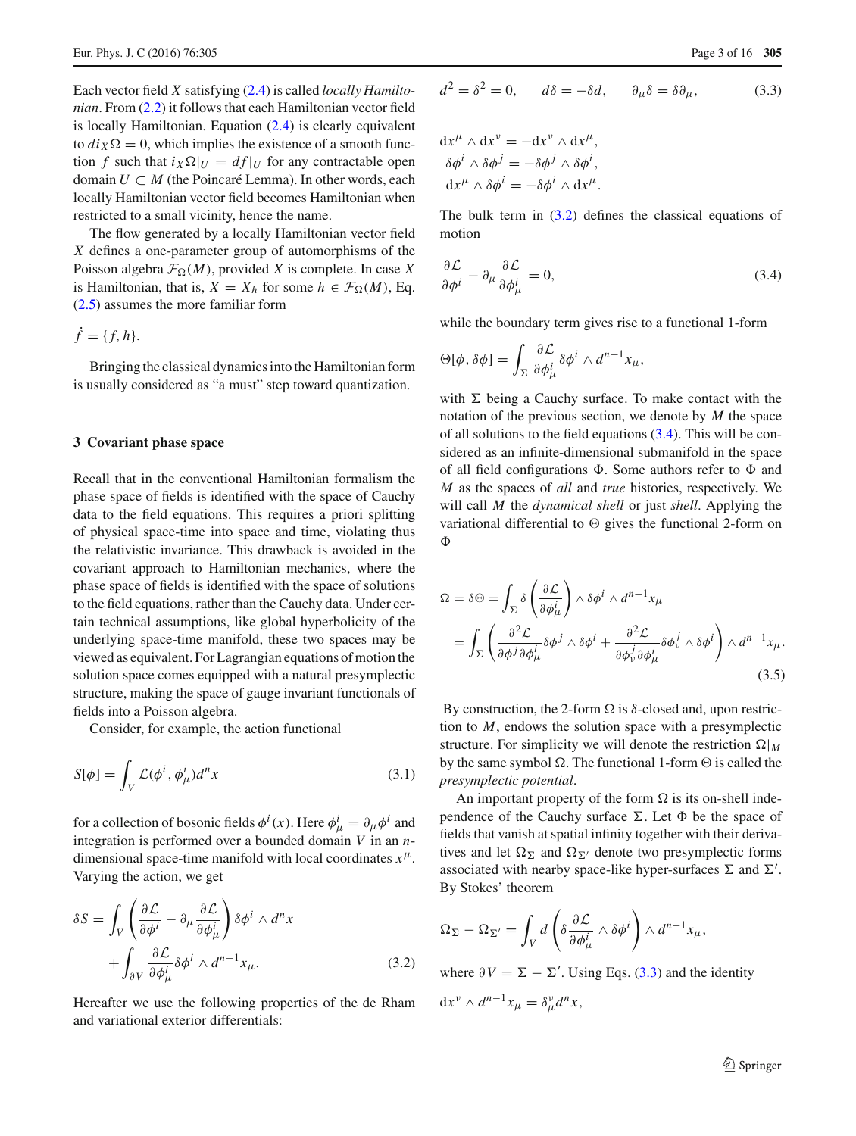Each vector field *X* satisfying [\(2.4\)](#page-1-3) is called *locally Hamiltonian*. From [\(2.2\)](#page-1-4) it follows that each Hamiltonian vector field is locally Hamiltonian. Equation [\(2.4\)](#page-1-3) is clearly equivalent to  $di_X \Omega = 0$ , which implies the existence of a smooth function *f* such that  $i_X \Omega|_U = df|_U$  for any contractable open domain  $U \subset M$  (the Poincaré Lemma). In other words, each locally Hamiltonian vector field becomes Hamiltonian when restricted to a small vicinity, hence the name.

The flow generated by a locally Hamiltonian vector field *X* defines a one-parameter group of automorphisms of the Poisson algebra  $\mathcal{F}_{\Omega}(M)$ , provided *X* is complete. In case *X* is Hamiltonian, that is,  $X = X_h$  for some  $h \in \mathcal{F}_{\Omega}(M)$ , Eq. [\(2.5\)](#page-1-5) assumes the more familiar form

 $\dot{f} = \{f, h\}.$ 

Bringing the classical dynamics into the Hamiltonian form is usually considered as "a must" step toward quantization.

#### <span id="page-2-0"></span>**3 Covariant phase space**

Recall that in the conventional Hamiltonian formalism the phase space of fields is identified with the space of Cauchy data to the field equations. This requires a priori splitting of physical space-time into space and time, violating thus the relativistic invariance. This drawback is avoided in the covariant approach to Hamiltonian mechanics, where the phase space of fields is identified with the space of solutions to the field equations, rather than the Cauchy data. Under certain technical assumptions, like global hyperbolicity of the underlying space-time manifold, these two spaces may be viewed as equivalent. For Lagrangian equations of motion the solution space comes equipped with a natural presymplectic structure, making the space of gauge invariant functionals of fields into a Poisson algebra.

Consider, for example, the action functional

$$
S[\phi] = \int_{V} \mathcal{L}(\phi^i, \phi^i_{\mu}) d^n x \tag{3.1}
$$

for a collection of bosonic fields  $\phi^i(x)$ . Here  $\phi^i_\mu = \partial_\mu \phi^i$  and integration is performed over a bounded domain *V* in an *n*dimensional space-time manifold with local coordinates  $x^{\mu}$ . Varying the action, we get

<span id="page-2-1"></span>
$$
\delta S = \int_{V} \left( \frac{\partial \mathcal{L}}{\partial \phi^{i}} - \partial_{\mu} \frac{\partial \mathcal{L}}{\partial \phi^{i}_{\mu}} \right) \delta \phi^{i} \wedge d^{n} x + \int_{\partial V} \frac{\partial \mathcal{L}}{\partial \phi^{i}_{\mu}} \delta \phi^{i} \wedge d^{n-1} x_{\mu}.
$$
 (3.2)

Hereafter we use the following properties of the de Rham and variational exterior differentials:

$$
d^2 = \delta^2 = 0, \qquad d\delta = -\delta d, \qquad \partial_\mu \delta = \delta \partial_\mu, \tag{3.3}
$$

$$
\mathrm{d}x^{\mu} \wedge \mathrm{d}x^{\nu} = -\mathrm{d}x^{\nu} \wedge \mathrm{d}x^{\mu}, \delta\phi^{i} \wedge \delta\phi^{j} = -\delta\phi^{j} \wedge \delta\phi^{i}, \mathrm{d}x^{\mu} \wedge \delta\phi^{i} = -\delta\phi^{i} \wedge \mathrm{d}x^{\mu}.
$$

<span id="page-2-2"></span>The bulk term in  $(3.2)$  defines the classical equations of motion

$$
\frac{\partial \mathcal{L}}{\partial \phi^i} - \partial_\mu \frac{\partial \mathcal{L}}{\partial \phi^i_\mu} = 0, \tag{3.4}
$$

while the boundary term gives rise to a functional 1-form

$$
\Theta[\phi, \delta\phi] = \int_{\Sigma} \frac{\partial \mathcal{L}}{\partial \phi_{\mu}^{i}} \delta\phi^{i} \wedge d^{n-1}x_{\mu},
$$

with  $\Sigma$  being a Cauchy surface. To make contact with the notation of the previous section, we denote by *M* the space of all solutions to the field equations [\(3.4\)](#page-2-2). This will be considered as an infinite-dimensional submanifold in the space of all field configurations  $\Phi$ . Some authors refer to  $\Phi$  and *M* as the spaces of *all* and *true* histories, respectively. We will call *M* the *dynamical shell* or just *shell*. Applying the variational differential to  $\Theta$  gives the functional 2-form on  $\Phi$ 

<span id="page-2-4"></span>
$$
\Omega = \delta \Theta = \int_{\Sigma} \delta \left( \frac{\partial \mathcal{L}}{\partial \phi_{\mu}^{i}} \right) \wedge \delta \phi^{i} \wedge d^{n-1} x_{\mu}
$$
  
= 
$$
\int_{\Sigma} \left( \frac{\partial^{2} \mathcal{L}}{\partial \phi^{j} \partial \phi_{\mu}^{i}} \delta \phi^{j} \wedge \delta \phi^{i} + \frac{\partial^{2} \mathcal{L}}{\partial \phi_{\nu}^{j} \partial \phi_{\mu}^{i}} \delta \phi_{\nu}^{j} \wedge \delta \phi^{i} \right) \wedge d^{n-1} x_{\mu}.
$$
(3.5)

<span id="page-2-5"></span>By construction, the 2-form  $\Omega$  is  $\delta$ -closed and, upon restriction to *M*, endows the solution space with a presymplectic structure. For simplicity we will denote the restriction  $\Omega|_M$ by the same symbol  $\Omega$ . The functional 1-form  $\Theta$  is called the *presymplectic potential*.

An important property of the form  $\Omega$  is its on-shell independence of the Cauchy surface  $\Sigma$ . Let  $\Phi$  be the space of fields that vanish at spatial infinity together with their derivatives and let  $\Omega_{\Sigma}$  and  $\Omega_{\Sigma'}$  denote two presymplectic forms associated with nearby space-like hyper-surfaces  $\Sigma$  and  $\Sigma'$ . By Stokes' theorem

$$
\Omega_{\Sigma} - \Omega_{\Sigma'} = \int_{V} d\left( \delta \frac{\partial \mathcal{L}}{\partial \phi_{\mu}^{i}} \wedge \delta \phi^{i} \right) \wedge d^{n-1}x_{\mu},
$$

where  $\partial V = \Sigma - \Sigma'$ . Using Eqs. [\(3.3\)](#page-2-3) and the identity

<span id="page-2-3"></span>
$$
dx^{\nu} \wedge d^{n-1}x_{\mu} = \delta_{\mu}^{\nu} d^{n}x,
$$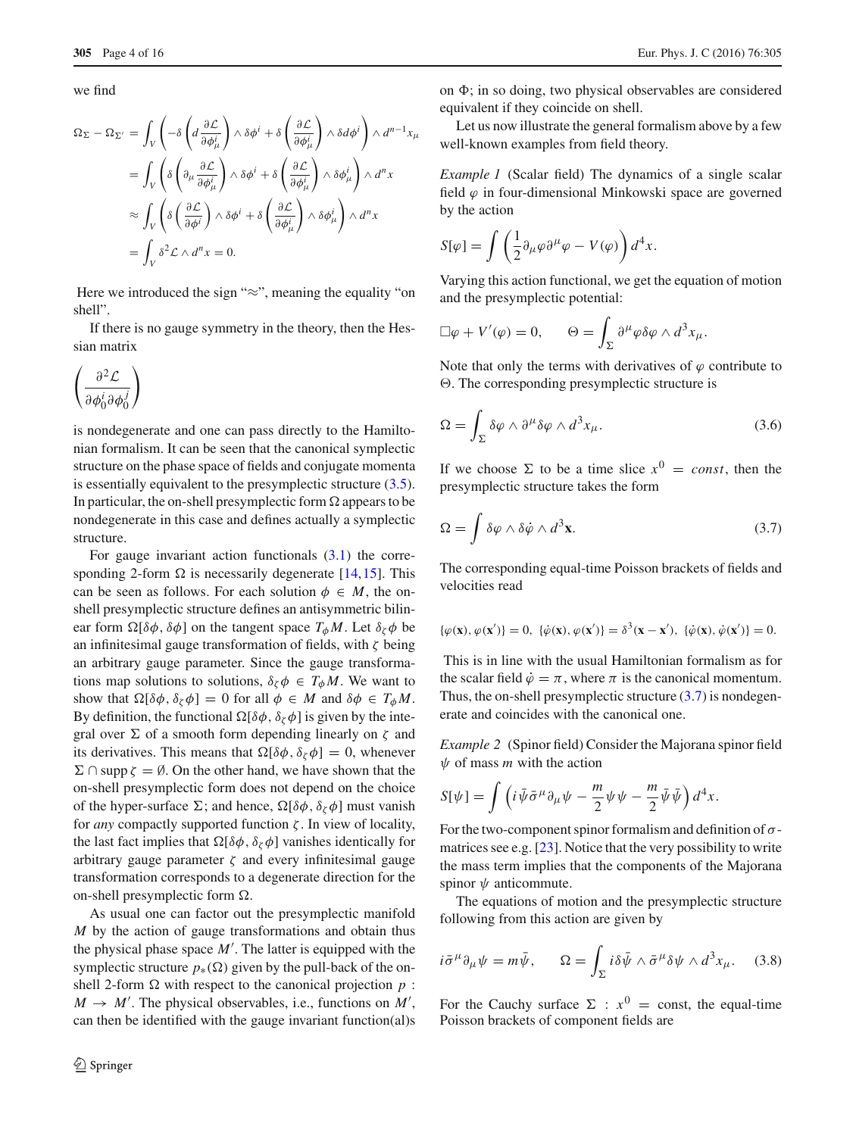we find

$$
\Omega_{\Sigma} - \Omega_{\Sigma'} = \int_{V} \left( -\delta \left( d \frac{\partial \mathcal{L}}{\partial \phi_{\mu}^{i}} \right) \wedge \delta \phi^{i} + \delta \left( \frac{\partial \mathcal{L}}{\partial \phi_{\mu}^{i}} \right) \wedge \delta d \phi^{i} \right) \wedge d^{n-1} x_{\mu}
$$

$$
= \int_{V} \left( \delta \left( \partial_{\mu} \frac{\partial \mathcal{L}}{\partial \phi_{\mu}^{i}} \right) \wedge \delta \phi^{i} + \delta \left( \frac{\partial \mathcal{L}}{\partial \phi_{\mu}^{i}} \right) \wedge \delta \phi_{\mu}^{i} \right) \wedge d^{n} x
$$

$$
\approx \int_{V} \left( \delta \left( \frac{\partial \mathcal{L}}{\partial \phi^{i}} \right) \wedge \delta \phi^{i} + \delta \left( \frac{\partial \mathcal{L}}{\partial \phi_{\mu}^{i}} \right) \wedge \delta \phi_{\mu}^{i} \right) \wedge d^{n} x
$$

$$
= \int_{V} \delta^{2} \mathcal{L} \wedge d^{n} x = 0.
$$

Here we introduced the sign "≈", meaning the equality "on shell".

If there is no gauge symmetry in the theory, then the Hessian matrix

$$
\left(\frac{\partial^2 \mathcal{L}}{\partial \phi_0^i \partial \phi_0^j}\right)
$$

is nondegenerate and one can pass directly to the Hamiltonian formalism. It can be seen that the canonical symplectic structure on the phase space of fields and conjugate momenta is essentially equivalent to the presymplectic structure [\(3.5\)](#page-2-4). In particular, the on-shell presymplectic form  $\Omega$  appears to be nondegenerate in this case and defines actually a symplectic structure.

For gauge invariant action functionals  $(3.1)$  the corresponding 2-form  $\Omega$  is necessarily degenerate [\[14](#page-14-12),[15](#page-14-13)]. This can be seen as follows. For each solution  $\phi \in M$ , the onshell presymplectic structure defines an antisymmetric bilinear form  $\Omega[\delta\phi, \delta\phi]$  on the tangent space  $T_{\phi}M$ . Let  $\delta_{\zeta}\phi$  be an infinitesimal gauge transformation of fields, with  $\zeta$  being an arbitrary gauge parameter. Since the gauge transformations map solutions to solutions,  $\delta_{\zeta} \phi \in T_{\phi} M$ . We want to show that  $\Omega[\delta\phi, \delta_{\zeta}\phi] = 0$  for all  $\phi \in M$  and  $\delta\phi \in T_{\phi}M$ . By definition, the functional  $\Omega[\delta\phi, \delta_{\zeta}\phi]$  is given by the integral over  $\Sigma$  of a smooth form depending linearly on  $\zeta$  and its derivatives. This means that  $\Omega[\delta\phi, \delta_{\zeta}\phi] = 0$ , whenever  $\Sigma \cap \text{supp } \zeta = \emptyset$ . On the other hand, we have shown that the on-shell presymplectic form does not depend on the choice of the hyper-surface  $\Sigma$ ; and hence,  $\Omega[\delta\phi, \delta_{\zeta}\phi]$  must vanish for *any* compactly supported function ζ . In view of locality, the last fact implies that  $\Omega[\delta\phi, \delta_{\zeta}\phi]$  vanishes identically for arbitrary gauge parameter  $\zeta$  and every infinitesimal gauge transformation corresponds to a degenerate direction for the on-shell presymplectic form  $\Omega$ .

As usual one can factor out the presymplectic manifold *M* by the action of gauge transformations and obtain thus the physical phase space *M* . The latter is equipped with the symplectic structure  $p_*(\Omega)$  given by the pull-back of the onshell 2-form  $\Omega$  with respect to the canonical projection  $p$ :  $M \rightarrow M'$ . The physical observables, i.e., functions on  $M'$ , can then be identified with the gauge invariant function(al)s on  $\Phi$ ; in so doing, two physical observables are considered equivalent if they coincide on shell.

Let us now illustrate the general formalism above by a few well-known examples from field theory.

*Example 1* (Scalar field) The dynamics of a single scalar field  $\varphi$  in four-dimensional Minkowski space are governed by the action

$$
S[\varphi] = \int \left(\frac{1}{2}\partial_{\mu}\varphi\partial^{\mu}\varphi - V(\varphi)\right)d^{4}x.
$$

Varying this action functional, we get the equation of motion and the presymplectic potential:

$$
\Box \varphi + V'(\varphi) = 0, \qquad \Theta = \int_{\Sigma} \partial^{\mu} \varphi \delta \varphi \wedge d^{3} x_{\mu}.
$$

Note that only the terms with derivatives of  $\varphi$  contribute to . The corresponding presymplectic structure is

<span id="page-3-2"></span>
$$
\Omega = \int_{\Sigma} \delta \varphi \wedge \partial^{\mu} \delta \varphi \wedge d^{3} x_{\mu}.
$$
 (3.6)

If we choose  $\Sigma$  to be a time slice  $x^0 = const$ , then the presymplectic structure takes the form

<span id="page-3-0"></span>
$$
\Omega = \int \delta \varphi \wedge \delta \dot{\varphi} \wedge d^3 \mathbf{x}.\tag{3.7}
$$

The corresponding equal-time Poisson brackets of fields and velocities read

$$
\{\varphi(\mathbf{x}), \varphi(\mathbf{x}')\} = 0, \ \{\dot{\varphi}(\mathbf{x}), \varphi(\mathbf{x}')\} = \delta^3(\mathbf{x} - \mathbf{x}'), \ \{\dot{\varphi}(\mathbf{x}), \dot{\varphi}(\mathbf{x}')\} = 0.
$$

This is in line with the usual Hamiltonian formalism as for the scalar field  $\dot{\varphi} = \pi$ , where  $\pi$  is the canonical momentum. Thus, the on-shell presymplectic structure  $(3.7)$  is nondegenerate and coincides with the canonical one.

*Example 2* (Spinor field) Consider the Majorana spinor field  $\psi$  of mass *m* with the action

$$
S[\psi] = \int \left( i \bar{\psi} \bar{\sigma}^{\mu} \partial_{\mu} \psi - \frac{m}{2} \psi \psi - \frac{m}{2} \bar{\psi} \bar{\psi} \right) d^{4}x.
$$

For the two-component spinor formalism and definition of  $\sigma$ matrices see e.g. [\[23](#page-14-14)]. Notice that the very possibility to write the mass term implies that the components of the Majorana spinor  $\psi$  anticommute.

<span id="page-3-1"></span>The equations of motion and the presymplectic structure following from this action are given by

$$
i\bar{\sigma}^{\mu}\partial_{\mu}\psi = m\bar{\psi}, \qquad \Omega = \int_{\Sigma} i\delta\bar{\psi} \wedge \bar{\sigma}^{\mu}\delta\psi \wedge d^{3}x_{\mu}. \tag{3.8}
$$

For the Cauchy surface  $\Sigma : x^0 = \text{const}$ , the equal-time Poisson brackets of component fields are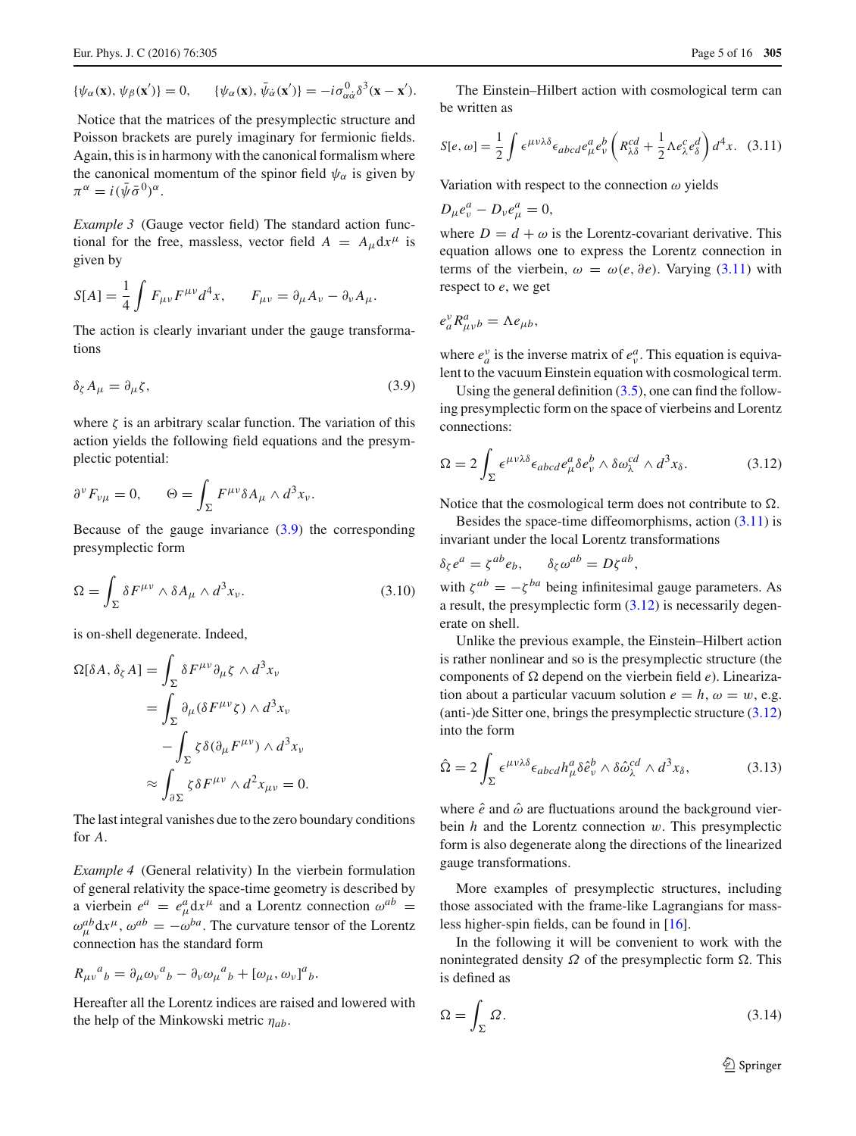$$
\{\psi_{\alpha}(\mathbf{x}),\psi_{\beta}(\mathbf{x}')\}=0, \qquad \{\psi_{\alpha}(\mathbf{x}),\bar{\psi}_{\dot{\alpha}}(\mathbf{x}')\}=-i\sigma_{\alpha\dot{\alpha}}^0\delta^3(\mathbf{x}-\mathbf{x}').
$$

Notice that the matrices of the presymplectic structure and Poisson brackets are purely imaginary for fermionic fields. Again, this is in harmony with the canonical formalism where the canonical momentum of the spinor field  $\psi_{\alpha}$  is given by  $\pi^{\alpha} = i(\bar{\psi}\bar{\sigma}^{0})^{\alpha}.$ 

*Example 3* (Gauge vector field) The standard action functional for the free, massless, vector field  $A = A_{\mu} dx^{\mu}$  is given by

$$
S[A] = \frac{1}{4} \int F_{\mu\nu} F^{\mu\nu} d^4 x, \qquad F_{\mu\nu} = \partial_{\mu} A_{\nu} - \partial_{\nu} A_{\mu}.
$$

<span id="page-4-0"></span>The action is clearly invariant under the gauge transformations

$$
\delta_{\zeta} A_{\mu} = \partial_{\mu} \zeta, \tag{3.9}
$$

where  $\zeta$  is an arbitrary scalar function. The variation of this action yields the following field equations and the presymplectic potential:

$$
\partial^{\nu} F_{\nu\mu} = 0, \qquad \Theta = \int_{\Sigma} F^{\mu\nu} \delta A_{\mu} \wedge d^3 x_{\nu}.
$$

<span id="page-4-4"></span>Because of the gauge invariance  $(3.9)$  the corresponding presymplectic form

$$
\Omega = \int_{\Sigma} \delta F^{\mu\nu} \wedge \delta A_{\mu} \wedge d^{3} x_{\nu}.
$$
 (3.10)

is on-shell degenerate. Indeed,

$$
\Omega[\delta A, \delta_{\zeta} A] = \int_{\Sigma} \delta F^{\mu\nu} \partial_{\mu} \zeta \wedge d^{3} x_{\nu}
$$
  
= 
$$
\int_{\Sigma} \partial_{\mu} (\delta F^{\mu\nu} \zeta) \wedge d^{3} x_{\nu}
$$
  

$$
- \int_{\Sigma} \zeta \delta (\partial_{\mu} F^{\mu\nu}) \wedge d^{3} x_{\nu}
$$
  

$$
\approx \int_{\partial \Sigma} \zeta \delta F^{\mu\nu} \wedge d^{2} x_{\mu\nu} = 0.
$$

The last integral vanishes due to the zero boundary conditions for *A*.

*Example 4* (General relativity) In the vierbein formulation of general relativity the space-time geometry is described by a vierbein  $e^a = e^a_\mu dx^\mu$  and a Lorentz connection  $\omega^{ab}$  =  $\omega_{\mu}^{ab} dx^{\mu}, \omega^{ab} = -\omega^{ba}$ . The curvature tensor of the Lorentz connection has the standard form

$$
R_{\mu\nu}{}^a{}_b = \partial_\mu \omega_\nu{}^a{}_b - \partial_\nu \omega_\mu{}^a{}_b + [\omega_\mu, \omega_\nu]^a{}_b.
$$

Hereafter all the Lorentz indices are raised and lowered with the help of the Minkowski metric η*ab*.

<span id="page-4-1"></span>The Einstein–Hilbert action with cosmological term can be written as

$$
S[e,\omega] = \frac{1}{2} \int \epsilon^{\mu\nu\lambda\delta} \epsilon_{abcd} e^a_\mu e^b_\nu \left( R^{cd}_{\lambda\delta} + \frac{1}{2} \Lambda e^c_\lambda e^d_\delta \right) d^4x. \tag{3.11}
$$

Variation with respect to the connection  $\omega$  yields

$$
D_{\mu}e_{\nu}^{a}-D_{\nu}e_{\mu}^{a}=0,
$$

where  $D = d + \omega$  is the Lorentz-covariant derivative. This equation allows one to express the Lorentz connection in terms of the vierbein,  $\omega = \omega(e, \partial e)$ . Varying [\(3.11\)](#page-4-1) with respect to *e*, we get

$$
e_a^{\nu} R^a_{\mu\nu b} = \Lambda e_{\mu b},
$$

where  $e_a^v$  is the inverse matrix of  $e_v^a$ . This equation is equivalent to the vacuum Einstein equation with cosmological term.

Using the general definition  $(3.5)$ , one can find the following presymplectic form on the space of vierbeins and Lorentz connections:

<span id="page-4-2"></span>
$$
\Omega = 2 \int_{\Sigma} \epsilon^{\mu\nu\lambda\delta} \epsilon_{abcd} e^{a}_{\mu} \delta e^{b}_{\nu} \wedge \delta \omega_{\lambda}^{cd} \wedge d^{3} x_{\delta}.
$$
 (3.12)

Notice that the cosmological term does not contribute to  $\Omega$ .

Besides the space-time diffeomorphisms, action  $(3.11)$  is invariant under the local Lorentz transformations

$$
\delta_{\zeta} e^a = \zeta^{ab} e_b, \qquad \delta_{\zeta} \omega^{ab} = D \zeta^{ab},
$$

with  $\zeta^{ab} = -\zeta^{ba}$  being infinitesimal gauge parameters. As a result, the presymplectic form [\(3.12\)](#page-4-2) is necessarily degenerate on shell.

Unlike the previous example, the Einstein–Hilbert action is rather nonlinear and so is the presymplectic structure (the components of  $\Omega$  depend on the vierbein field  $e$ ). Linearization about a particular vacuum solution  $e = h$ ,  $\omega = w$ , e.g. (anti-)de Sitter one, brings the presymplectic structure [\(3.12\)](#page-4-2) into the form

<span id="page-4-5"></span>
$$
\hat{\Omega} = 2 \int_{\Sigma} \epsilon^{\mu\nu\lambda\delta} \epsilon_{abcd} h^{a}_{\mu} \delta \hat{e}^{b}_{\nu} \wedge \delta \hat{\omega}^{cd}_{\lambda} \wedge d^{3} x_{\delta}, \tag{3.13}
$$

where  $\hat{e}$  and  $\hat{\omega}$  are fluctuations around the background vierbein *h* and the Lorentz connection w. This presymplectic form is also degenerate along the directions of the linearized gauge transformations.

More examples of presymplectic structures, including those associated with the frame-like Lagrangians for massless higher-spin fields, can be found in [\[16](#page-14-15)].

In the following it will be convenient to work with the nonintegrated density  $\Omega$  of the presymplectic form  $\Omega$ . This is defined as

<span id="page-4-3"></span>
$$
\Omega = \int_{\Sigma} \Omega. \tag{3.14}
$$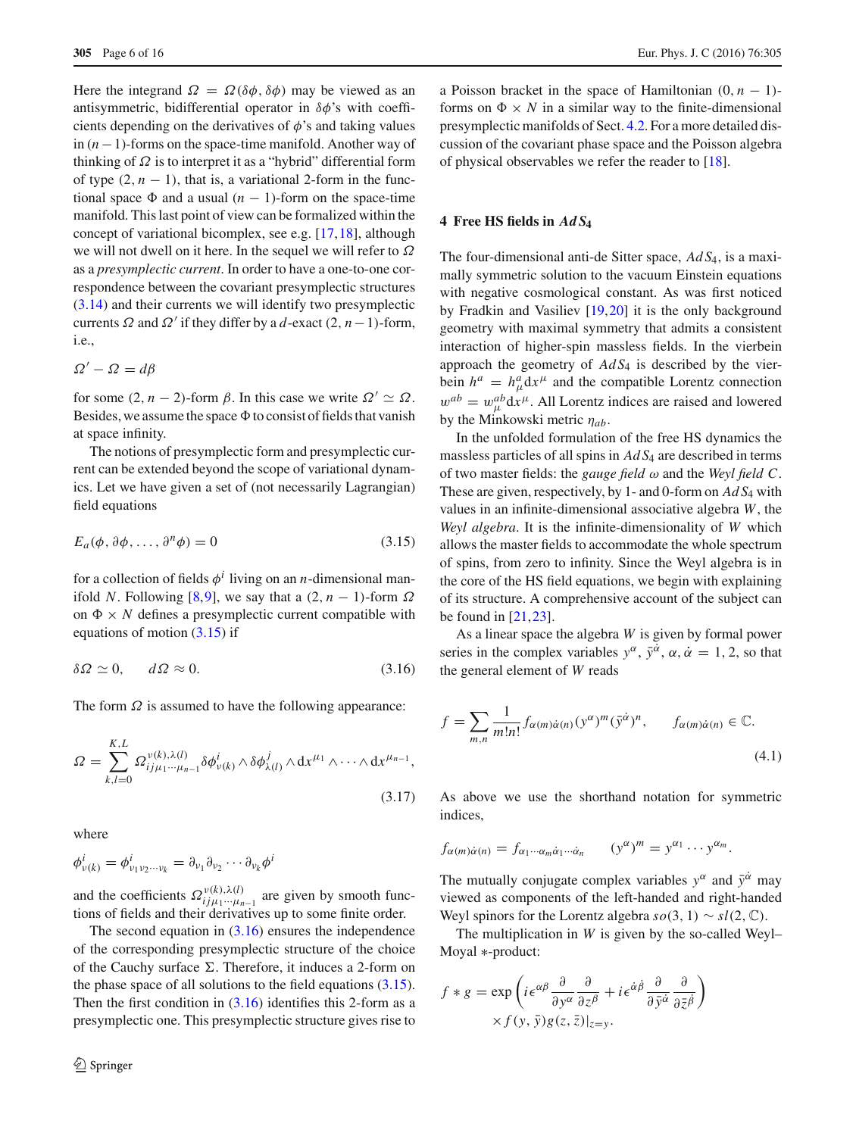Here the integrand  $\Omega = \Omega(\delta\phi, \delta\phi)$  may be viewed as an antisymmetric, bidifferential operator in  $\delta\phi$ 's with coefficients depending on the derivatives of  $\phi$ 's and taking values in (*n*−1)-forms on the space-time manifold. Another way of thinking of  $\Omega$  is to interpret it as a "hybrid" differential form of type  $(2, n - 1)$ , that is, a variational 2-form in the functional space  $\Phi$  and a usual  $(n - 1)$ -form on the space-time manifold. This last point of view can be formalized within the concept of variational bicomplex, see e.g. [\[17,](#page-14-16)[18\]](#page-14-17), although we will not dwell on it here. In the sequel we will refer to Ω as a *presymplectic current*. In order to have a one-to-one correspondence between the covariant presymplectic structures [\(3.14\)](#page-4-3) and their currents we will identify two presymplectic currents  $\Omega$  and  $\Omega'$  if they differ by a *d*-exact (2, *n* − 1)-form, i.e.,

 $\Omega' - \Omega = d\beta$ 

for some  $(2, n - 2)$ -form  $\beta$ . In this case we write  $\Omega' \simeq \Omega$ . Besides, we assume the space  $\Phi$  to consist of fields that vanish at space infinity.

The notions of presymplectic form and presymplectic current can be extended beyond the scope of variational dynamics. Let we have given a set of (not necessarily Lagrangian) field equations

<span id="page-5-1"></span>
$$
E_a(\phi, \partial \phi, \dots, \partial^n \phi) = 0 \tag{3.15}
$$

for a collection of fields  $\phi^i$  living on an *n*-dimensional manifold *N*. Following [\[8](#page-14-7)[,9](#page-14-8)], we say that a  $(2, n - 1)$ -form  $\Omega$ on  $\Phi \times N$  defines a presymplectic current compatible with equations of motion [\(3.15\)](#page-5-1) if

<span id="page-5-2"></span>
$$
\delta \Omega \simeq 0, \qquad d\Omega \approx 0. \tag{3.16}
$$

The form  $\Omega$  is assumed to have the following appearance:

$$
\Omega = \sum_{k,l=0}^{K,L} \Omega_{ij\mu_1\cdots\mu_{n-1}}^{\nu(k),\lambda(l)} \delta \phi_{\nu(k)}^i \wedge \delta \phi_{\lambda(l)}^j \wedge dx^{\mu_1} \wedge \cdots \wedge dx^{\mu_{n-1}},
$$
\n(3.17)

where

$$
\phi_{\nu(k)}^i = \phi_{\nu_1\nu_2\cdots\nu_k}^i = \partial_{\nu_1}\partial_{\nu_2}\cdots\partial_{\nu_k}\phi^i
$$

and the coefficients  $\Omega_{ij\mu_1\cdots\mu_{n-1}}^{v(k),\lambda(l)}$  are given by smooth functions of fields and their derivatives up to some finite order.

The second equation in  $(3.16)$  ensures the independence of the corresponding presymplectic structure of the choice of the Cauchy surface  $\Sigma$ . Therefore, it induces a 2-form on the phase space of all solutions to the field equations  $(3.15)$ . Then the first condition in  $(3.16)$  identifies this 2-form as a presymplectic one. This presymplectic structure gives rise to a Poisson bracket in the space of Hamiltonian  $(0, n - 1)$ forms on  $\Phi \times N$  in a similar way to the finite-dimensional presymplectic manifolds of Sect. [4.2.](#page-6-0) For a more detailed discussion of the covariant phase space and the Poisson algebra of physical observables we refer the reader to [\[18\]](#page-14-17).

## <span id="page-5-0"></span>**4 Free HS fields in** *AdS***<sup>4</sup>**

The four-dimensional anti-de Sitter space, *Ad S*4, is a maximally symmetric solution to the vacuum Einstein equations with negative cosmological constant. As was first noticed by Fradkin and Vasiliev [\[19](#page-14-18)[,20](#page-14-19)] it is the only background geometry with maximal symmetry that admits a consistent interaction of higher-spin massless fields. In the vierbein approach the geometry of *Ad S*<sup>4</sup> is described by the vierbein  $h^a = h^a_\mu dx^\mu$  and the compatible Lorentz connection  $w^{ab} = w^{ab}_{\mu} dx^{\mu}$ . All Lorentz indices are raised and lowered by the Minkowski metric η*ab*.

In the unfolded formulation of the free HS dynamics the massless particles of all spins in *Ad S*<sup>4</sup> are described in terms of two master fields: the *gauge field*  $\omega$  and the *Weyl field* C. These are given, respectively, by 1- and 0-form on *Ad S*<sup>4</sup> with values in an infinite-dimensional associative algebra *W*, the *Weyl algebra*. It is the infinite-dimensionality of *W* which allows the master fields to accommodate the whole spectrum of spins, from zero to infinity. Since the Weyl algebra is in the core of the HS field equations, we begin with explaining of its structure. A comprehensive account of the subject can be found in  $[21, 23]$  $[21, 23]$  $[21, 23]$ .

As a linear space the algebra *W* is given by formal power series in the complex variables  $y^{\alpha}$ ,  $\bar{y}^{\dot{\alpha}}$ ,  $\alpha$ ,  $\dot{\alpha} = 1, 2$ , so that the general element of *W* reads

<span id="page-5-4"></span><span id="page-5-3"></span>
$$
f = \sum_{m,n} \frac{1}{m!n!} f_{\alpha(m)\dot{\alpha}(n)} (y^{\alpha})^m (\bar{y}^{\dot{\alpha}})^n, \qquad f_{\alpha(m)\dot{\alpha}(n)} \in \mathbb{C}.
$$
\n(4.1)

As above we use the shorthand notation for symmetric indices,

$$
f_{\alpha(m)\dot{\alpha}(n)}=f_{\alpha_1\cdots\alpha_m\dot{\alpha}_1\cdots\dot{\alpha}_n} \qquad (y^{\alpha})^m=y^{\alpha_1}\cdots y^{\alpha_m}.
$$

The mutually conjugate complex variables  $y^{\alpha}$  and  $\bar{y}^{\dot{\alpha}}$  may viewed as components of the left-handed and right-handed Weyl spinors for the Lorentz algebra  $so(3, 1) \sim sl(2, \mathbb{C})$ .

The multiplication in *W* is given by the so-called Weyl– Moyal ∗-product:

$$
f * g = \exp\left(i\epsilon^{\alpha\beta} \frac{\partial}{\partial y^{\alpha}} \frac{\partial}{\partial z^{\beta}} + i\epsilon^{\dot{\alpha}\dot{\beta}} \frac{\partial}{\partial \bar{y}^{\dot{\alpha}}} \frac{\partial}{\partial \bar{z}^{\dot{\beta}}}\right) \times f(y, \bar{y})g(z, \bar{z})|_{z=y}.
$$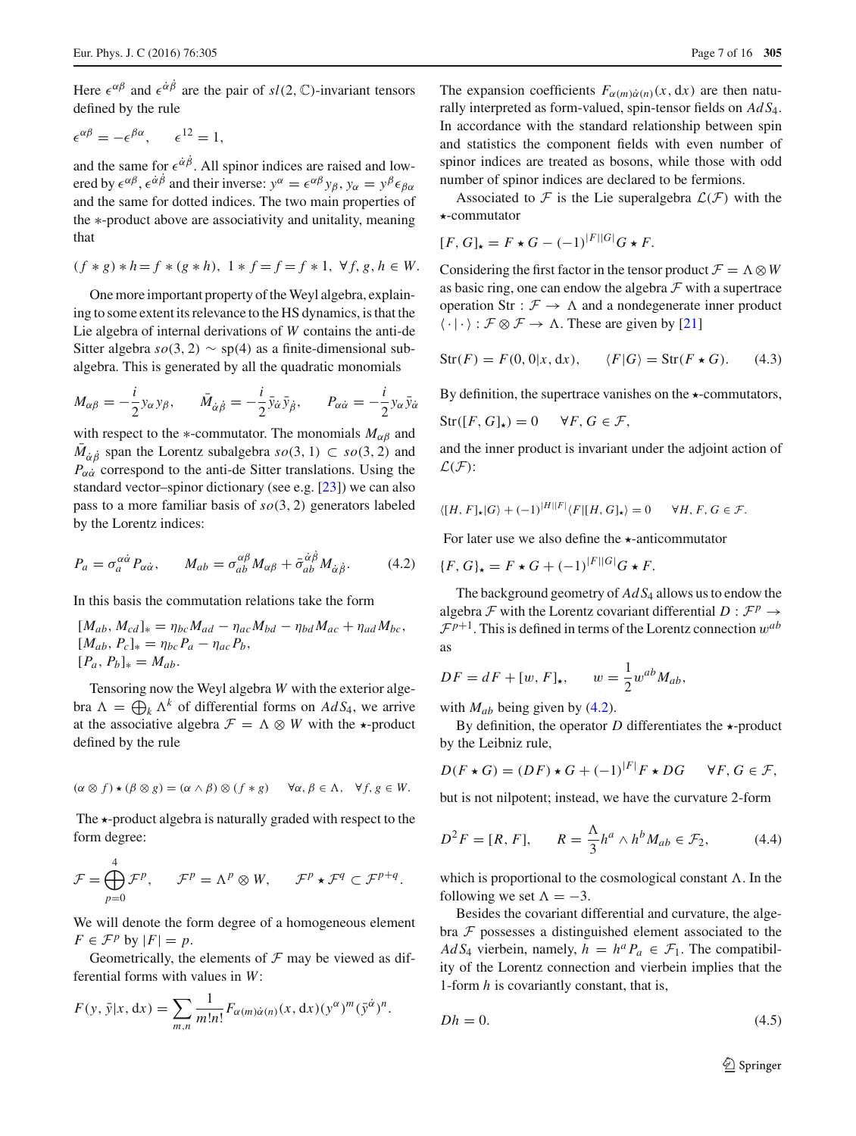Here  $\epsilon^{\alpha\beta}$  and  $\epsilon^{\dot{\alpha}\dot{\beta}}$  are the pair of  $sl(2, \mathbb{C})$ -invariant tensors defined by the rule

$$
\epsilon^{\alpha\beta} = -\epsilon^{\beta\alpha}, \qquad \epsilon^{12} = 1,
$$

and the same for  $\epsilon^{\dot{\alpha}\beta}$ . All spinor indices are raised and lowered by  $\epsilon^{\alpha\beta}$ ,  $\epsilon^{\dot{\alpha}\dot{\beta}}$  and their inverse:  $y^{\alpha} = \epsilon^{\alpha\beta} y_{\beta}$ ,  $y_{\alpha} = y^{\beta} \epsilon_{\beta\alpha}$ and the same for dotted indices. The two main properties of the ∗-product above are associativity and unitality, meaning that

$$
(f * g) * h = f * (g * h), \ 1 * f = f = f * 1, \ \forall f, g, h \in W.
$$

One more important property of the Weyl algebra, explaining to some extent its relevance to the HS dynamics, is that the Lie algebra of internal derivations of *W* contains the anti-de Sitter algebra  $so(3, 2)$  ∼ sp(4) as a finite-dimensional subalgebra. This is generated by all the quadratic monomials

$$
M_{\alpha\beta} = -\frac{i}{2} y_{\alpha} y_{\beta}, \qquad \bar{M}_{\dot{\alpha}\dot{\beta}} = -\frac{i}{2} \bar{y}_{\dot{\alpha}} \bar{y}_{\dot{\beta}}, \qquad P_{\alpha\dot{\alpha}} = -\frac{i}{2} y_{\alpha} \bar{y}_{\dot{\alpha}}
$$

with respect to the  $*$ -commutator. The monomials  $M_{\alpha\beta}$  and  $M_{\dot{\alpha}\dot{\beta}}$  span the Lorentz subalgebra  $so(3, 1) \subset so(3, 2)$  and  $P_{\alpha\dot{\alpha}}$  correspond to the anti-de Sitter translations. Using the standard vector–spinor dictionary (see e.g. [\[23](#page-14-14)]) we can also pass to a more familiar basis of *so*(3, 2) generators labeled by the Lorentz indices:

<span id="page-6-0"></span>
$$
P_a = \sigma_a^{\alpha\dot{\alpha}} P_{\alpha\dot{\alpha}}, \qquad M_{ab} = \sigma_{ab}^{\alpha\beta} M_{\alpha\beta} + \bar{\sigma}_{ab}^{\dot{\alpha}\dot{\beta}} M_{\dot{\alpha}\dot{\beta}}.
$$
 (4.2)

In this basis the commutation relations take the form

$$
[M_{ab}, M_{cd}]_* = \eta_{bc} M_{ad} - \eta_{ac} M_{bd} - \eta_{bd} M_{ac} + \eta_{ad} M_{bc},
$$
  
\n
$$
[M_{ab}, P_c]_* = \eta_{bc} P_a - \eta_{ac} P_b,
$$
  
\n
$$
[P_a, P_b]_* = M_{ab}.
$$

Tensoring now the Weyl algebra *W* with the exterior algebra  $\Lambda = \bigoplus_k \Lambda^k$  of differential forms on  $AdS_4$ , we arrive at the associative algebra  $\mathcal{F} = \Lambda \otimes W$  with the  $\star$ -product defined by the rule

$$
(\alpha \otimes f) \star (\beta \otimes g) = (\alpha \wedge \beta) \otimes (f * g) \quad \forall \alpha, \beta \in \Lambda, \ \forall f, g \in W.
$$

The  $\star$ -product algebra is naturally graded with respect to the form degree:

$$
\mathcal{F} = \bigoplus_{p=0}^{4} \mathcal{F}^p, \qquad \mathcal{F}^p = \Lambda^p \otimes W, \qquad \mathcal{F}^p \star \mathcal{F}^q \subset \mathcal{F}^{p+q}.
$$

We will denote the form degree of a homogeneous element  $F \in \mathcal{F}^p$  by  $|F| = p$ .

Geometrically, the elements of  $\mathcal F$  may be viewed as differential forms with values in *W*:

$$
F(y, \bar{y}|x, dx) = \sum_{m,n} \frac{1}{m!n!} F_{\alpha(m)\dot{\alpha}(n)}(x, dx) (y^{\alpha})^m (\bar{y}^{\dot{\alpha}})^n.
$$

The expansion coefficients  $F_{\alpha(m)\dot{\alpha}(n)}(x, dx)$  are then naturally interpreted as form-valued, spin-tensor fields on *Ad S*4. In accordance with the standard relationship between spin and statistics the component fields with even number of spinor indices are treated as bosons, while those with odd number of spinor indices are declared to be fermions.

Associated to  $F$  is the Lie superalgebra  $\mathcal{L}(F)$  with the -commutator

$$
[F, G]_\star = F \star G - (-1)^{|F||G|} G \star F.
$$

Considering the first factor in the tensor product  $\mathcal{F} = \Lambda \otimes W$ as basic ring, one can endow the algebra  $\mathcal F$  with a supertrace operation Str :  $\mathcal{F} \rightarrow \Lambda$  and a nondegenerate inner product  $\langle \cdot | \cdot \rangle : \mathcal{F} \otimes \mathcal{F} \to \Lambda$ . These are given by [\[21\]](#page-14-20)

<span id="page-6-3"></span>
$$
Str(F) = F(0, 0|x, dx), \qquad \langle F|G \rangle = Str(F \star G). \tag{4.3}
$$

By definition, the supertrace vanishes on the  $\star$ -commutators,

$$
Str([F, G]_\star) = 0 \quad \forall F, G \in \mathcal{F},
$$

and the inner product is invariant under the adjoint action of *L*(*F*):

$$
\langle [H, F]_{\star} | G \rangle + (-1)^{|H||F|} \langle F | [H, G]_{\star} \rangle = 0 \quad \forall H, F, G \in \mathcal{F}.
$$

For later use we also define the  $\star$ -anticommutator

$$
\{F, G\}_{\star} = F \star G + (-1)^{|F||G|} G \star F.
$$

The background geometry of *Ad S*<sup>4</sup> allows us to endow the algebra *F* with the Lorentz covariant differential  $D : \mathcal{F}^p \to$  $\mathcal{F}^{p+1}$ . This is defined in terms of the Lorentz connection  $w^{ab}$ as

$$
DF = dF + [w, F]_\star, \qquad w = \frac{1}{2} w^{ab} M_{ab},
$$

with  $M_{ab}$  being given by [\(4.2\)](#page-6-0).

By definition, the operator  $D$  differentiates the  $\star$ -product by the Leibniz rule,

<span id="page-6-1"></span>
$$
D(F \star G) = (DF) \star G + (-1)^{|F|} F \star DG \quad \forall F, G \in \mathcal{F},
$$

but is not nilpotent; instead, we have the curvature 2-form

$$
D^2 F = [R, F], \qquad R = \frac{\Lambda}{3} h^a \wedge h^b M_{ab} \in \mathcal{F}_2,\tag{4.4}
$$

which is proportional to the cosmological constant  $\Lambda$ . In the following we set  $\Lambda = -3$ .

Besides the covariant differential and curvature, the algebra *F* possesses a distinguished element associated to the *Ad S*<sub>4</sub> vierbein, namely,  $h = h^a P_a \in \mathcal{F}_1$ . The compatibility of the Lorentz connection and vierbein implies that the 1-form *h* is covariantly constant, that is,

<span id="page-6-2"></span>
$$
Dh = 0.\t\t(4.5)
$$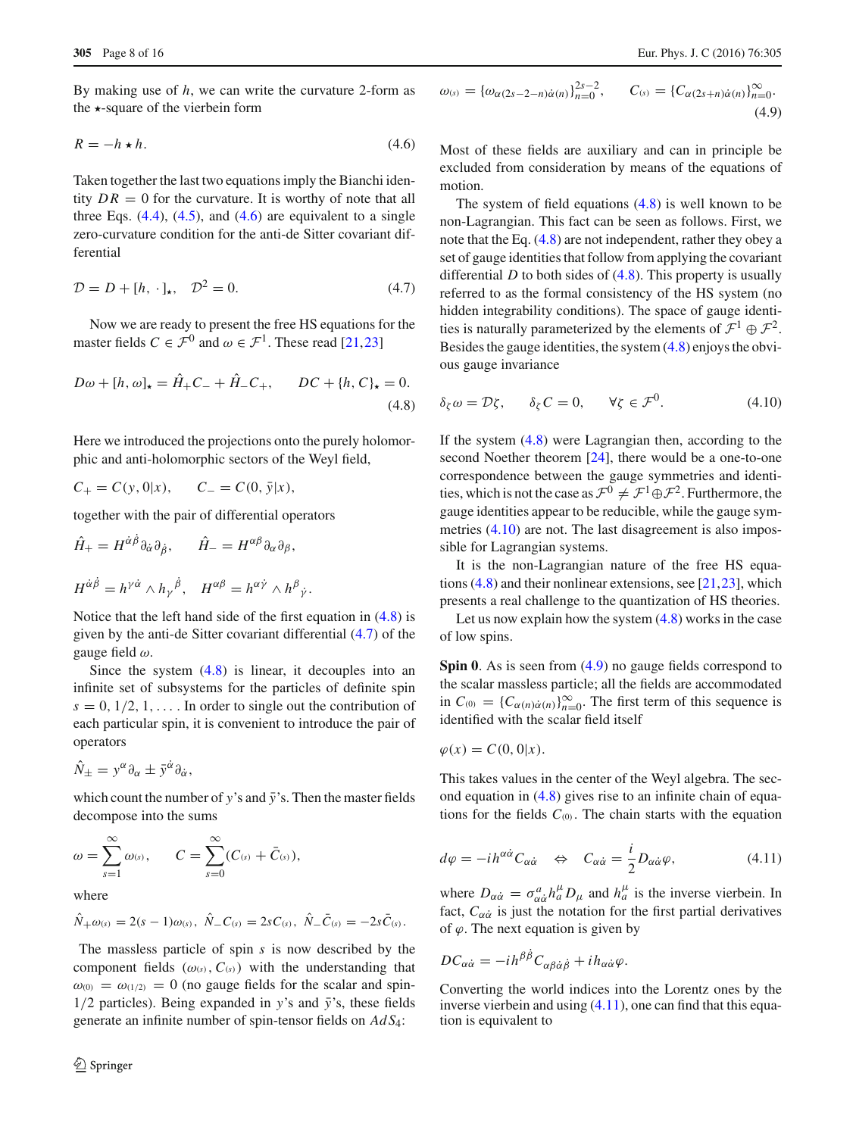By making use of *h*, we can write the curvature 2-form as the  $\star$ -square of the vierbein form

$$
R = -h \star h. \tag{4.6}
$$

Taken together the last two equations imply the Bianchi identity  $DR = 0$  for the curvature. It is worthy of note that all three Eqs.  $(4.4)$ ,  $(4.5)$ , and  $(4.6)$  are equivalent to a single zero-curvature condition for the anti-de Sitter covariant differential

<span id="page-7-2"></span>
$$
\mathcal{D} = D + [h, \cdot]_{\star}, \quad \mathcal{D}^2 = 0. \tag{4.7}
$$

Now we are ready to present the free HS equations for the master fields  $C \in \mathcal{F}^0$  and  $\omega \in \mathcal{F}^1$ . These read [\[21](#page-14-20),[23\]](#page-14-14)

$$
D\omega + [h, \omega]_{\star} = \hat{H}_{+}C_{-} + \hat{H}_{-}C_{+}, \qquad DC + \{h, C\}_{\star} = 0.
$$
\n(4.8)

Here we introduced the projections onto the purely holomorphic and anti-holomorphic sectors of the Weyl field,

$$
C_{+} = C(y, 0|x), \quad C_{-} = C(0, \bar{y}|x),
$$

together with the pair of differential operators

$$
\hat{H}_{+} = H^{\dot{\alpha}\beta} \partial_{\dot{\alpha}} \partial_{\dot{\beta}}, \qquad \hat{H}_{-} = H^{\alpha\beta} \partial_{\alpha} \partial_{\beta},
$$

$$
H^{\dot{\alpha}\dot{\beta}} = h^{\gamma\dot{\alpha}} \wedge h_{\gamma}{}^{\dot{\beta}}, \quad H^{\alpha\beta} = h^{\alpha\dot{\gamma}} \wedge h^{\beta}{}_{\dot{\gamma}}.
$$

Notice that the left hand side of the first equation in [\(4.8\)](#page-7-1) is given by the anti-de Sitter covariant differential [\(4.7\)](#page-7-2) of the gauge field ω.

Since the system  $(4.8)$  is linear, it decouples into an infinite set of subsystems for the particles of definite spin  $s = 0, 1/2, 1, \ldots$  In order to single out the contribution of each particular spin, it is convenient to introduce the pair of operators

$$
\hat{N}_{\pm} = y^{\alpha} \partial_{\alpha} \pm \bar{y}^{\dot{\alpha}} \partial_{\dot{\alpha}},
$$

which count the number of *y*'s and  $\bar{y}$ 's. Then the master fields decompose into the sums

$$
\omega = \sum_{s=1}^{\infty} \omega_{(s)}, \qquad C = \sum_{s=0}^{\infty} (C_{(s)} + \bar{C}_{(s)}),
$$

where

$$
\hat{N}_{+\omega(s)} = 2(s-1)\omega(s), \ \hat{N}_{-}C_{(s)} = 2sC_{(s)}, \ \hat{N}_{-}\bar{C}_{(s)} = -2s\bar{C}_{(s)}.
$$

The massless particle of spin *s* is now described by the component fields  $(\omega_{(s)}, C_{(s)})$  with the understanding that  $\omega_{(0)} = \omega_{(1/2)} = 0$  (no gauge fields for the scalar and spin- $1/2$  particles). Being expanded in *y*'s and  $\bar{y}$ 's, these fields generate an infinite number of spin-tensor fields on *Ad S*4:

<span id="page-7-0"></span>
$$
\omega_{(s)} = {\omega_{\alpha(2s-2-n)\dot{\alpha}(n)}}_{n=0}^{2s-2}, \qquad C_{(s)} = {C_{\alpha(2s+n)\dot{\alpha}(n)}}_{n=0}^{\infty}.
$$
\n(4.9)

Most of these fields are auxiliary and can in principle be excluded from consideration by means of the equations of motion.

The system of field equations  $(4.8)$  is well known to be non-Lagrangian. This fact can be seen as follows. First, we note that the Eq. [\(4.8\)](#page-7-1) are not independent, rather they obey a set of gauge identities that follow from applying the covariant differential *D* to both sides of [\(4.8\)](#page-7-1). This property is usually referred to as the formal consistency of the HS system (no hidden integrability conditions). The space of gauge identities is naturally parameterized by the elements of  $\mathcal{F}^1 \oplus \mathcal{F}^2$ . Besides the gauge identities, the system [\(4.8\)](#page-7-1) enjoys the obvious gauge invariance

<span id="page-7-3"></span><span id="page-7-1"></span>
$$
\delta_{\zeta}\omega = \mathcal{D}\zeta, \qquad \delta_{\zeta}C = 0, \qquad \forall \zeta \in \mathcal{F}^0. \tag{4.10}
$$

If the system [\(4.8\)](#page-7-1) were Lagrangian then, according to the second Noether theorem [\[24](#page-15-0)], there would be a one-to-one correspondence between the gauge symmetries and identities, which is not the case as  $\mathcal{F}^0 \neq \mathcal{F}^1 \oplus \mathcal{F}^2$ . Furthermore, the gauge identities appear to be reducible, while the gauge sym-metries [\(4.10\)](#page-7-3) are not. The last disagreement is also impossible for Lagrangian systems.

It is the non-Lagrangian nature of the free HS equations [\(4.8\)](#page-7-1) and their nonlinear extensions, see [\[21](#page-14-20)[,23](#page-14-14)], which presents a real challenge to the quantization of HS theories.

Let us now explain how the system  $(4.8)$  works in the case of low spins.

**Spin 0**. As is seen from  $(4.9)$  no gauge fields correspond to the scalar massless particle; all the fields are accommodated in  $C_{(0)} = \{C_{\alpha(n)}\dot{\alpha}(n)\}_{n=0}^{\infty}$ . The first term of this sequence is identified with the scalar field itself

$$
\varphi(x) = C(0,0|x).
$$

This takes values in the center of the Weyl algebra. The second equation in [\(4.8\)](#page-7-1) gives rise to an infinite chain of equations for the fields  $C_{(0)}$ . The chain starts with the equation

<span id="page-7-5"></span>
$$
d\varphi = -ih^{\alpha\dot{\alpha}}C_{\alpha\dot{\alpha}} \quad \Leftrightarrow \quad C_{\alpha\dot{\alpha}} = \frac{i}{2}D_{\alpha\dot{\alpha}}\varphi, \tag{4.11}
$$

where  $D_{\alpha\dot{\alpha}} = \sigma_{\alpha\dot{\alpha}}^a h_a^\mu D_\mu$  and  $h_a^\mu$  is the inverse vierbein. In fact,  $C_{\alpha\dot{\alpha}}$  is just the notation for the first partial derivatives of  $\varphi$ . The next equation is given by

$$
DC_{\alpha\dot{\alpha}} = -ih^{\beta\dot{\beta}}C_{\alpha\beta\dot{\alpha}\dot{\beta}} + ih_{\alpha\dot{\alpha}}\varphi.
$$

<span id="page-7-4"></span>Converting the world indices into the Lorentz ones by the inverse vierbein and using  $(4.11)$ , one can find that this equation is equivalent to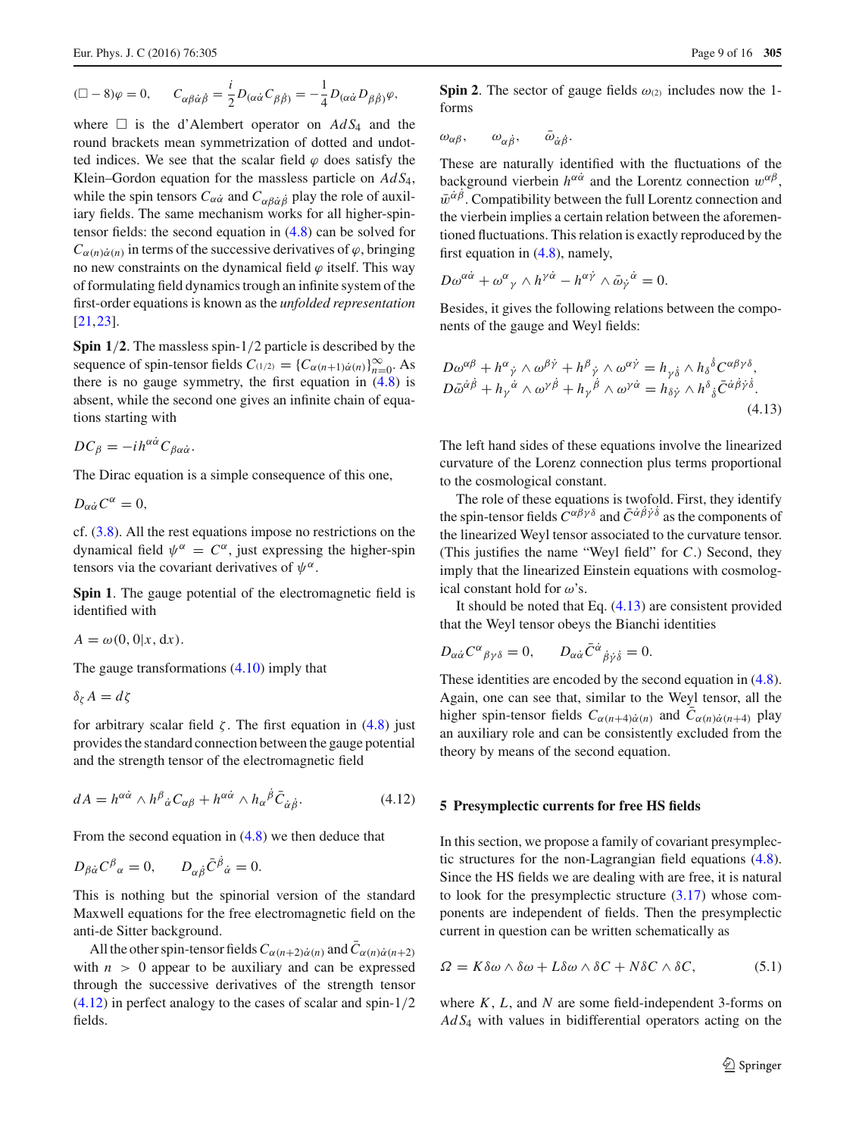$$
(\Box - 8)\varphi = 0, \qquad C_{\alpha\beta\dot{\alpha}\dot{\beta}} = \frac{i}{2}D_{(\alpha\dot{\alpha}}C_{\beta\dot{\beta})} = -\frac{1}{4}D_{(\alpha\dot{\alpha}}D_{\beta\dot{\beta})}\varphi,
$$

where  $\Box$  is the d'Alembert operator on  $AdS_4$  and the round brackets mean symmetrization of dotted and undotted indices. We see that the scalar field  $\varphi$  does satisfy the Klein–Gordon equation for the massless particle on *Ad S*4, while the spin tensors  $C_{\alpha\dot{\alpha}}$  and  $C_{\alpha\dot{\beta}\dot{\alpha}\dot{\beta}}$  play the role of auxiliary fields. The same mechanism works for all higher-spintensor fields: the second equation in [\(4.8\)](#page-7-1) can be solved for  $C_{\alpha(n)\dot{\alpha}(n)}$  in terms of the successive derivatives of  $\varphi$ , bringing no new constraints on the dynamical field  $\varphi$  itself. This way of formulating field dynamics trough an infinite system of the first-order equations is known as the *unfolded representation* [\[21](#page-14-20),[23\]](#page-14-14).

**Spin 1**/**2**. The massless spin-1/2 particle is described by the sequence of spin-tensor fields  $C_{(1/2)} = \{C_{\alpha(n+1)\alpha(n)}\}_{n=0}^{\infty}$ . As there is no gauge symmetry, the first equation in  $(4.8)$  is absent, while the second one gives an infinite chain of equations starting with

$$
DC_{\beta} = -i h^{\alpha \dot{\alpha}} C_{\beta \alpha \dot{\alpha}}.
$$

The Dirac equation is a simple consequence of this one,

$$
D_{\alpha\dot{\alpha}}C^{\alpha}=0,
$$

cf. [\(3.8\)](#page-3-1). All the rest equations impose no restrictions on the dynamical field  $\psi^{\alpha} = C^{\alpha}$ , just expressing the higher-spin tensors via the covariant derivatives of  $\psi^{\alpha}$ .

**Spin 1**. The gauge potential of the electromagnetic field is identified with

$$
A = \omega(0, 0|x, dx).
$$

The gauge transformations [\(4.10\)](#page-7-3) imply that

$$
\delta_{\zeta} A = d\zeta
$$

for arbitrary scalar field  $\zeta$ . The first equation in [\(4.8\)](#page-7-1) just provides the standard connection between the gauge potential and the strength tensor of the electromagnetic field

$$
dA = h^{\alpha \dot{\alpha}} \wedge h^{\beta}{}_{\dot{\alpha}} C_{\alpha \beta} + h^{\alpha \dot{\alpha}} \wedge h_{\alpha}{}^{\dot{\beta}} \bar{C}_{\dot{\alpha} \dot{\beta}}.
$$
 (4.12)

From the second equation in [\(4.8\)](#page-7-1) we then deduce that

$$
D_{\beta\dot{\alpha}}C^{\beta}{}_{\alpha}=0, \qquad D_{\alpha\dot{\beta}}\bar{C}^{\dot{\beta}}{}_{\dot{\alpha}}=0.
$$

This is nothing but the spinorial version of the standard Maxwell equations for the free electromagnetic field on the anti-de Sitter background.

All the other spin-tensor fields  $C_{\alpha(n+2)\dot{\alpha}(n)}$  and  $C_{\alpha(n)\dot{\alpha}(n+2)}$ with  $n > 0$  appear to be auxiliary and can be expressed through the successive derivatives of the strength tensor [\(4.12\)](#page-8-1) in perfect analogy to the cases of scalar and spin-1/2 fields.

**Spin 2.** The sector of gauge fields  $\omega_{(2)}$  includes now the 1forms

$$
\omega_{\alpha\beta}, \qquad \omega_{\alpha\dot{\beta}}, \qquad \bar{\omega}_{\dot{\alpha}\dot{\beta}}.
$$

These are naturally identified with the fluctuations of the background vierbein  $h^{\alpha\dot{\alpha}}$  and the Lorentz connection  $w^{\alpha\beta}$ ,  $\bar{w}^{\dot{\alpha}\beta}$ . Compatibility between the full Lorentz connection and the vierbein implies a certain relation between the aforementioned fluctuations. This relation is exactly reproduced by the first equation in [\(4.8\)](#page-7-1), namely,

$$
D\omega^{\alpha\dot{\alpha}} + \omega^{\alpha}{}_{\gamma} \wedge h^{\gamma\dot{\alpha}} - h^{\alpha\dot{\gamma}} \wedge \bar{\omega}_{\dot{\gamma}}{}^{\dot{\alpha}} = 0.
$$

<span id="page-8-2"></span>Besides, it gives the following relations between the components of the gauge and Weyl fields:

$$
D\omega^{\alpha\beta} + h^{\alpha}{}_{\dot{\gamma}} \wedge \omega^{\beta\dot{\gamma}} + h^{\beta}{}_{\dot{\gamma}} \wedge \omega^{\alpha\dot{\gamma}} = h_{\gamma\dot{\delta}} \wedge h_{\delta}{}^{\delta}C^{\alpha\beta\gamma\delta},
$$
  
\n
$$
D\bar{\omega}^{\dot{\alpha}\dot{\beta}} + h_{\gamma}{}^{\dot{\alpha}} \wedge \omega^{\gamma\dot{\beta}} + h_{\gamma}{}^{\dot{\beta}} \wedge \omega^{\gamma\dot{\alpha}} = h_{\delta\dot{\gamma}} \wedge h^{\delta}{}_{\dot{\delta}}\bar{C}^{\dot{\alpha}\dot{\beta}\dot{\gamma}\dot{\delta}}.
$$
\n(4.13)

The left hand sides of these equations involve the linearized curvature of the Lorenz connection plus terms proportional to the cosmological constant.

The role of these equations is twofold. First, they identify the spin-tensor fields  $C^{\alpha\beta\gamma\delta}$  and  $\bar{C}^{\dot{\alpha}\dot{\beta}\dot{\gamma}\dot{\delta}}$  as the components of the linearized Weyl tensor associated to the curvature tensor. (This justifies the name "Weyl field" for *C*.) Second, they imply that the linearized Einstein equations with cosmological constant hold for  $\omega$ 's.

It should be noted that Eq. [\(4.13\)](#page-8-2) are consistent provided that the Weyl tensor obeys the Bianchi identities

$$
D_{\alpha\dot{\alpha}}C^{\alpha}{}_{\beta\gamma\delta}=0, \qquad D_{\alpha\dot{\alpha}}\bar{C}^{\dot{\alpha}}{}_{\dot{\beta}\dot{\gamma}\dot{\delta}}=0.
$$

These identities are encoded by the second equation in [\(4.8\)](#page-7-1). Again, one can see that, similar to the Weyl tensor, all the higher spin-tensor fields  $C_{\alpha(n+4)\dot{\alpha}(n)}$  and  $C_{\alpha(n)\dot{\alpha}(n+4)}$  play an auxiliary role and can be consistently excluded from the theory by means of the second equation.

## <span id="page-8-1"></span><span id="page-8-0"></span>**5 Presymplectic currents for free HS fields**

In this section, we propose a family of covariant presymplectic structures for the non-Lagrangian field equations [\(4.8\)](#page-7-1). Since the HS fields we are dealing with are free, it is natural to look for the presymplectic structure [\(3.17\)](#page-5-3) whose components are independent of fields. Then the presymplectic current in question can be written schematically as

<span id="page-8-3"></span>
$$
\Omega = K \delta \omega \wedge \delta \omega + L \delta \omega \wedge \delta C + N \delta C \wedge \delta C, \tag{5.1}
$$

where *K*, *L*, and *N* are some field-independent 3-forms on *Ad S*<sup>4</sup> with values in bidifferential operators acting on the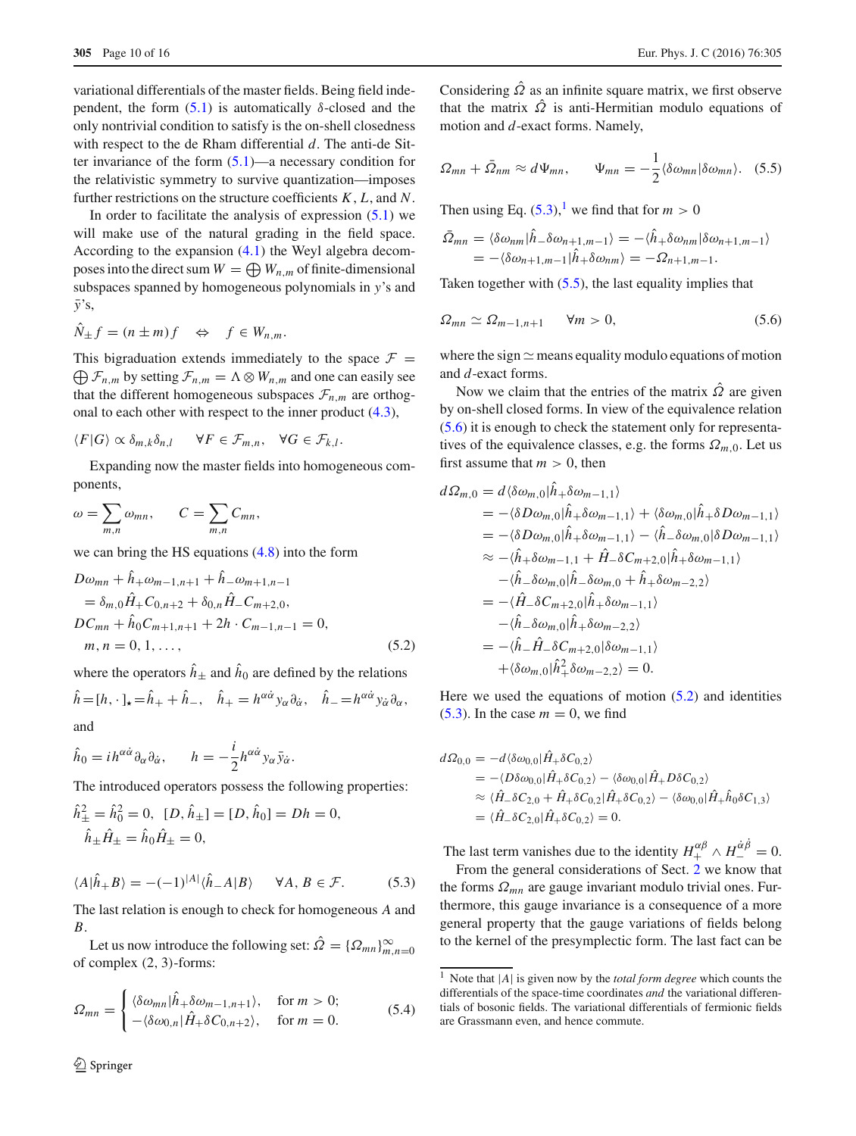variational differentials of the master fields. Being field independent, the form  $(5.1)$  is automatically  $\delta$ -closed and the only nontrivial condition to satisfy is the on-shell closedness with respect to the de Rham differential *d*. The anti-de Sitter invariance of the form  $(5.1)$ —a necessary condition for the relativistic symmetry to survive quantization—imposes further restrictions on the structure coefficients *K*, *L*, and *N*.

In order to facilitate the analysis of expression  $(5.1)$  we will make use of the natural grading in the field space. According to the expansion [\(4.1\)](#page-5-4) the Weyl algebra decomposes into the direct sum  $W = \bigoplus W_{n,m}$  of finite-dimensional subspaces spanned by homogeneous polynomials in *y*'s and *y*¯'s,

$$
\hat{N}_{\pm}f = (n \pm m)f \quad \Leftrightarrow \quad f \in W_{n,m}.
$$

This bigraduation extends immediately to the space  $\mathcal{F}$  =  $\bigoplus \mathcal{F}_{n,m}$  by setting  $\mathcal{F}_{n,m} = \Lambda \otimes W_{n,m}$  and one can easily see that the different homogeneous subspaces  $\mathcal{F}_{n,m}$  are orthogonal to each other with respect to the inner product [\(4.3\)](#page-6-3),

$$
\langle F|G\rangle \propto \delta_{m,k}\delta_{n,l} \quad \forall F \in \mathcal{F}_{m,n}, \quad \forall G \in \mathcal{F}_{k,l}.
$$

Expanding now the master fields into homogeneous components,

$$
\omega = \sum_{m,n} \omega_{mn}, \qquad C = \sum_{m,n} C_{mn},
$$

we can bring the HS equations [\(4.8\)](#page-7-1) into the form

<span id="page-9-4"></span>
$$
D\omega_{mn} + h_+\omega_{m-1,n+1} + h_-\omega_{m+1,n-1}
$$
  
=  $\delta_{m,0}\hat{H}_+C_{0,n+2} + \delta_{0,n}\hat{H}_-C_{m+2,0},$   

$$
DC_{mn} + \hat{h}_0C_{m+1,n+1} + 2h \cdot C_{m-1,n-1} = 0,
$$
  
 $m, n = 0, 1, ...,$  (5.2)

where the operators  $\hat{h}_{\pm}$  and  $\hat{h}_0$  are defined by the relations

$$
\hat{h} = [h, \cdot]_{\star} = \hat{h}_{+} + \hat{h}_{-}, \quad \hat{h}_{+} = h^{\alpha \dot{\alpha}} y_{\alpha} \partial_{\dot{\alpha}}, \quad \hat{h}_{-} = h^{\alpha \dot{\alpha}} y_{\dot{\alpha}} \partial_{\alpha},
$$
  
and

$$
\hat{h}_0 = i h^{\alpha \dot{\alpha}} \partial_\alpha \partial_{\dot{\alpha}}, \qquad h = -\frac{i}{2} h^{\alpha \dot{\alpha}} y_\alpha \bar{y}_{\dot{\alpha}}.
$$

The introduced operators possess the following properties:

$$
\hat{h}^2_{\pm} = \hat{h}^2_0 = 0, \ [D, \hat{h}_{\pm}] = [D, \hat{h}_0] = Dh = 0,
$$
  

$$
\hat{h}_{\pm} \hat{H}_{\pm} = \hat{h}_0 \hat{H}_{\pm} = 0,
$$

<span id="page-9-0"></span>
$$
\langle A|\hat{h}_+B\rangle = -(-1)^{|A|}\langle \hat{h}_-A|B\rangle \quad \forall A, B \in \mathcal{F}.
$$
 (5.3)

The last relation is enough to check for homogeneous *A* and *B*.

<span id="page-9-5"></span>Let us now introduce the following set:  $\Omega = {\Omega_{mn}}_{m,n=0}^{\infty}$ of complex (2, 3)-forms:

$$
\Omega_{mn} = \begin{cases}\n\langle \delta \omega_{mn} | \hat{h}_+ \delta \omega_{m-1, n+1} \rangle, & \text{for } m > 0; \\
-\langle \delta \omega_{0,n} | \hat{H}_+ \delta C_{0, n+2} \rangle, & \text{for } m = 0.\n\end{cases}
$$
\n(5.4)

Considering  $\hat{\Omega}$  as an infinite square matrix, we first observe that the matrix  $\hat{\Omega}$  is anti-Hermitian modulo equations of motion and *d*-exact forms. Namely,

<span id="page-9-2"></span>
$$
\Omega_{mn} + \bar{\Omega}_{nm} \approx d\Psi_{mn}, \qquad \Psi_{mn} = -\frac{1}{2} \langle \delta \omega_{mn} | \delta \omega_{mn} \rangle. \tag{5.5}
$$

Then using Eq.  $(5.3)$ ,<sup>[1](#page-9-1)</sup> we find that for  $m > 0$ 

<span id="page-9-3"></span>
$$
\Omega_{mn} = \langle \delta \omega_{nm} | h_- \delta \omega_{n+1,m-1} \rangle = -\langle h_+ \delta \omega_{nm} | \delta \omega_{n+1,m-1} \rangle
$$
  
= -\langle \delta \omega\_{n+1,m-1} | \hat{h}\_+ \delta \omega\_{nm} \rangle = -\Omega\_{n+1,m-1}.

Taken together with  $(5.5)$ , the last equality implies that

$$
\Omega_{mn} \simeq \Omega_{m-1,n+1} \qquad \forall m > 0,\tag{5.6}
$$

where the sign  $\simeq$  means equality modulo equations of motion and *d*-exact forms.

Now we claim that the entries of the matrix  $\hat{\Omega}$  are given by on-shell closed forms. In view of the equivalence relation [\(5.6\)](#page-9-3) it is enough to check the statement only for representatives of the equivalence classes, e.g. the forms  $\Omega_{m,0}$ . Let us first assume that  $m > 0$ , then

$$
d\Omega_{m,0} = d\langle \delta \omega_{m,0} | h_+ \delta \omega_{m-1,1} \rangle
$$
  
= -\langle \delta D \omega\_{m,0} | \hat{h}\_+ \delta \omega\_{m-1,1} \rangle + \langle \delta \omega\_{m,0} | \hat{h}\_+ \delta D \omega\_{m-1,1} \rangle  
= -\langle \delta D \omega\_{m,0} | \hat{h}\_+ \delta \omega\_{m-1,1} \rangle - \langle \hat{h}\_- \delta \omega\_{m,0} | \delta D \omega\_{m-1,1} \rangle  
\approx -\langle \hat{h}\_+ \delta \omega\_{m-1,1} + \hat{H}\_- \delta C\_{m+2,0} | \hat{h}\_+ \delta \omega\_{m-1,1} \rangle  
-\langle \hat{h}\_- \delta \omega\_{m,0} | \hat{h}\_- \delta \omega\_{m,0} + \hat{h}\_+ \delta \omega\_{m-2,2} \rangle  
= -\langle \hat{H}\_- \delta C\_{m+2,0} | \hat{h}\_+ \delta \omega\_{m-1,1} \rangle  
-\langle \hat{h}\_- \delta \omega\_{m,0} | \hat{h}\_+ \delta \omega\_{m-2,2} \rangle  
= -\langle \hat{h}\_- \hat{H}\_- \delta C\_{m+2,0} | \delta \omega\_{m-1,1} \rangle  
+\langle \delta \omega\_{m,0} | \hat{h}\_+^2 \delta \omega\_{m-2,2} \rangle = 0.

Here we used the equations of motion  $(5.2)$  and identities  $(5.3)$ . In the case  $m = 0$ , we find

$$
d\Omega_{0,0} = -d\langle \delta \omega_{0,0} | \hat{H}_+ \delta C_{0,2} \rangle
$$
  
= -\langle D\delta \omega\_{0,0} | \hat{H}\_+ \delta C\_{0,2} \rangle - \langle \delta \omega\_{0,0} | \hat{H}\_+ D \delta C\_{0,2} \rangle  
\approx \langle \hat{H}\_- \delta C\_{2,0} + \hat{H}\_+ \delta C\_{0,2} | \hat{H}\_+ \delta C\_{0,2} \rangle - \langle \delta \omega\_{0,0} | \hat{H}\_+ \hat{h}\_0 \delta C\_{1,3} \rangle  
= \langle \hat{H}\_- \delta C\_{2,0} | \hat{H}\_+ \delta C\_{0,2} \rangle = 0.

The last term vanishes due to the identity  $H_+^{\alpha\beta} \wedge H_-^{\dot{\alpha}\beta} = 0$ .

From the general considerations of Sect. [2](#page-1-0) we know that the forms  $\Omega_{mn}$  are gauge invariant modulo trivial ones. Furthermore, this gauge invariance is a consequence of a more general property that the gauge variations of fields belong to the kernel of the presymplectic form. The last fact can be

<span id="page-9-1"></span><sup>1</sup> Note that <sup>|</sup>*A*<sup>|</sup> is given now by the *total form degree* which counts the differentials of the space-time coordinates *and* the variational differentials of bosonic fields. The variational differentials of fermionic fields are Grassmann even, and hence commute.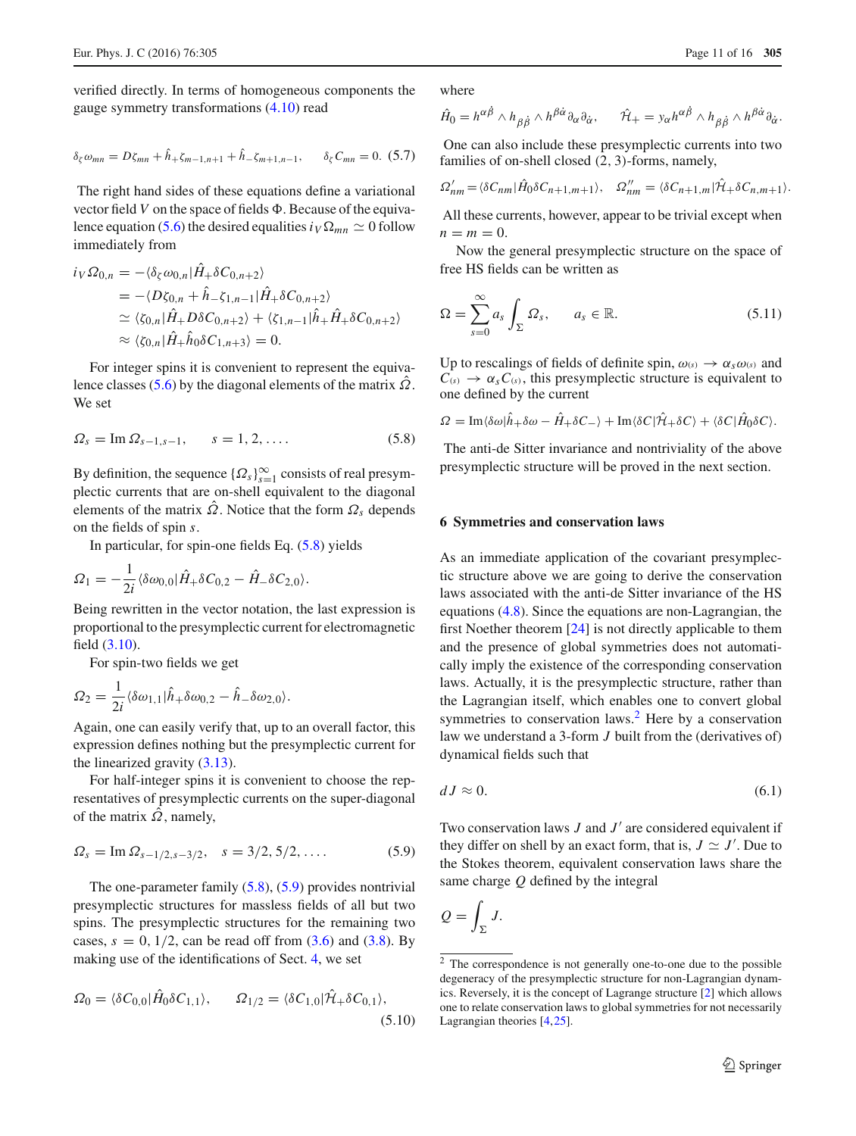<span id="page-10-6"></span>verified directly. In terms of homogeneous components the gauge symmetry transformations [\(4.10\)](#page-7-3) read

$$
\delta_{\zeta}\omega_{mn} = D\zeta_{mn} + \hat{h}_{+}\zeta_{m-1,n+1} + \hat{h}_{-}\zeta_{m+1,n-1}, \qquad \delta_{\zeta}C_{mn} = 0. (5.7)
$$

The right hand sides of these equations define a variational vector field  $V$  on the space of fields  $\Phi$ . Because of the equiva-lence equation [\(5.6\)](#page-9-3) the desired equalities  $i_V \Omega_{mn} \simeq 0$  follow immediately from

$$
i_V \Omega_{0,n} = -\langle \delta_{\zeta} \omega_{0,n} | \hat{H}_+ \delta C_{0,n+2} \rangle
$$
  
= -\langle D\zeta\_{0,n} + \hat{h}\_-\zeta\_{1,n-1} | \hat{H}\_+ \delta C\_{0,n+2} \rangle  
\simeq \langle \zeta\_{0,n} | \hat{H}\_+ D \delta C\_{0,n+2} \rangle + \langle \zeta\_{1,n-1} | \hat{h}\_+ \hat{H}\_+ \delta C\_{0,n+2} \rangle  
\simeq \langle \zeta\_{0,n} | \hat{H}\_+ \hat{h}\_0 \delta C\_{1,n+3} \rangle = 0.

<span id="page-10-1"></span>For integer spins it is convenient to represent the equiva-lence classes [\(5.6\)](#page-9-3) by the diagonal elements of the matrix  $\Omega$ . We set

$$
\Omega_s = \text{Im } \Omega_{s-1, s-1}, \qquad s = 1, 2, .... \tag{5.8}
$$

By definition, the sequence  $\{\Omega_s\}_{s=1}^{\infty}$  consists of real presymplectic currents that are on-shell equivalent to the diagonal elements of the matrix  $\Omega$ . Notice that the form  $\Omega_s$  depends on the fields of spin *s*.

In particular, for spin-one fields Eq. [\(5.8\)](#page-10-1) yields

$$
\Omega_1 = -\frac{1}{2i} \langle \delta \omega_{0,0} | \hat{H}_+ \delta C_{0,2} - \hat{H}_- \delta C_{2,0} \rangle.
$$

Being rewritten in the vector notation, the last expression is proportional to the presymplectic current for electromagnetic field [\(3.10\)](#page-4-4).

For spin-two fields we get

$$
\Omega_2 = \frac{1}{2i} \langle \delta \omega_{1,1} | \hat{h}_+ \delta \omega_{0,2} - \hat{h}_- \delta \omega_{2,0} \rangle.
$$

Again, one can easily verify that, up to an overall factor, this expression defines nothing but the presymplectic current for the linearized gravity  $(3.13)$ .

For half-integer spins it is convenient to choose the representatives of presymplectic currents on the super-diagonal of the matrix  $\Omega$ , namely,

<span id="page-10-2"></span>
$$
\Omega_s = \text{Im}\,\Omega_{s-1/2,s-3/2}, \quad s = 3/2, 5/2, \dots \tag{5.9}
$$

The one-parameter family  $(5.8)$ ,  $(5.9)$  provides nontrivial presymplectic structures for massless fields of all but two spins. The presymplectic structures for the remaining two cases,  $s = 0$ ,  $1/2$ , can be read off from  $(3.6)$  and  $(3.8)$ . By making use of the identifications of Sect. [4,](#page-5-0) we set

$$
\Omega_0 = \langle \delta C_{0,0} | \hat{H}_0 \delta C_{1,1} \rangle, \qquad \Omega_{1/2} = \langle \delta C_{1,0} | \hat{\mathcal{H}}_+ \delta C_{0,1} \rangle, \tag{5.10}
$$

where

$$
\hat{H}_0 = h^{\alpha\dot{\beta}} \wedge h_{\beta\dot{\beta}} \wedge h^{\beta\dot{\alpha}} \partial_{\alpha} \partial_{\dot{\alpha}}, \qquad \hat{\mathcal{H}}_+ = y_{\alpha} h^{\alpha\dot{\beta}} \wedge h_{\beta\dot{\beta}} \wedge h^{\beta\dot{\alpha}} \partial_{\dot{\alpha}}.
$$

One can also include these presymplectic currents into two families of on-shell closed (2, 3)-forms, namely,

$$
\Omega'_{nm} = \langle \delta C_{nm} | \hat{H}_0 \delta C_{n+1,m+1} \rangle, \quad \Omega''_{nm} = \langle \delta C_{n+1,m} | \hat{\mathcal{H}}_+ \delta C_{n,m+1} \rangle.
$$

All these currents, however, appear to be trivial except when  $n = m = 0$ .

<span id="page-10-5"></span>Now the general presymplectic structure on the space of free HS fields can be written as

$$
\Omega = \sum_{s=0}^{\infty} a_s \int_{\Sigma} \Omega_s, \qquad a_s \in \mathbb{R}.
$$
 (5.11)

Up to rescalings of fields of definite spin,  $\omega(s) \rightarrow \alpha_s \omega(s)$  and  $C_{(s)} \rightarrow \alpha_s C_{(s)}$ , this presymplectic structure is equivalent to one defined by the current

$$
\Omega = \text{Im}\langle \delta\omega | \hat{h}_{+}\delta\omega - \hat{H}_{+}\delta C_{-} \rangle + \text{Im}\langle \delta C | \hat{\mathcal{H}}_{+}\delta C \rangle + \langle \delta C | \hat{H}_{0}\delta C \rangle.
$$

The anti-de Sitter invariance and nontriviality of the above presymplectic structure will be proved in the next section.

#### <span id="page-10-0"></span>**6 Symmetries and conservation laws**

As an immediate application of the covariant presymplectic structure above we are going to derive the conservation laws associated with the anti-de Sitter invariance of the HS equations [\(4.8\)](#page-7-1). Since the equations are non-Lagrangian, the first Noether theorem [\[24](#page-15-0)] is not directly applicable to them and the presence of global symmetries does not automatically imply the existence of the corresponding conservation laws. Actually, it is the presymplectic structure, rather than the Lagrangian itself, which enables one to convert global symmetries to conservation laws.<sup>2</sup> Here by a conservation law we understand a 3-form *J* built from the (derivatives of) dynamical fields such that

<span id="page-10-4"></span>
$$
dJ \approx 0.\tag{6.1}
$$

Two conservation laws *J* and *J'* are considered equivalent if they differ on shell by an exact form, that is,  $J \simeq J'$ . Due to the Stokes theorem, equivalent conservation laws share the same charge *Q* defined by the integral

$$
Q=\int_{\Sigma}J.
$$

<span id="page-10-7"></span><span id="page-10-3"></span><sup>2</sup> The correspondence is not generally one-to-one due to the possible degeneracy of the presymplectic structure for non-Lagrangian dynamics. Reversely, it is the concept of Lagrange structure [\[2\]](#page-14-1) which allows one to relate conservation laws to global symmetries for not necessarily Lagrangian theories [\[4,](#page-14-3)[25](#page-15-1)].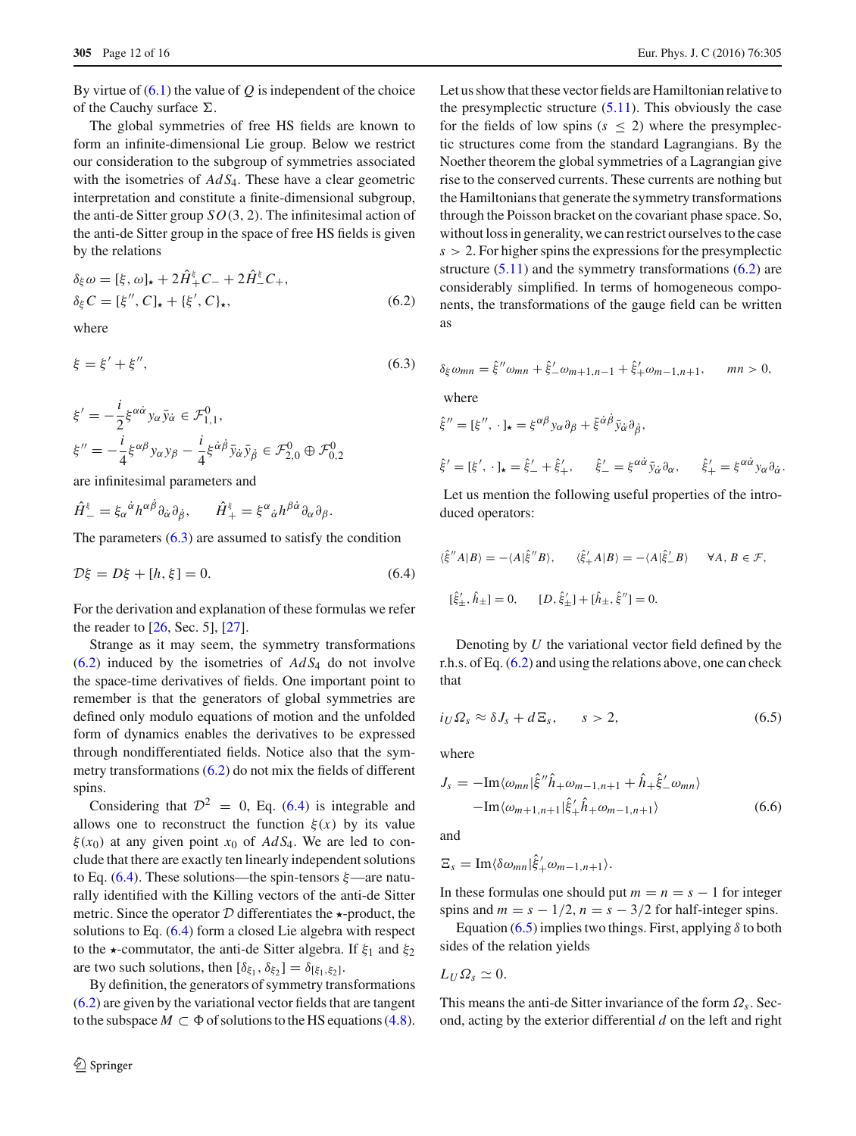By virtue of  $(6.1)$  the value of  $Q$  is independent of the choice of the Cauchy surface  $\Sigma$ .

The global symmetries of free HS fields are known to form an infinite-dimensional Lie group. Below we restrict our consideration to the subgroup of symmetries associated with the isometries of *Ad S*4. These have a clear geometric interpretation and constitute a finite-dimensional subgroup, the anti-de Sitter group *SO*(3, 2). The infinitesimal action of the anti-de Sitter group in the space of free HS fields is given by the relations

<span id="page-11-1"></span>
$$
\delta_{\xi}\omega = [\xi, \omega]_{\star} + 2\hat{H}_{+}^{\xi}C_{-} + 2\hat{H}_{-}^{\xi}C_{+},
$$
  
\n
$$
\delta_{\xi}C = [\xi'', C]_{\star} + \{\xi', C\}_{\star},
$$
\n(6.2)

<span id="page-11-0"></span>where

$$
\xi = \xi' + \xi'', \tag{6.3}
$$

$$
\xi' = -\frac{i}{2} \xi^{\alpha \dot{\alpha}} y_{\alpha} \bar{y}_{\dot{\alpha}} \in \mathcal{F}_{1,1}^0,
$$
  

$$
\xi'' = -\frac{i}{4} \xi^{\alpha \beta} y_{\alpha} y_{\beta} - \frac{i}{4} \xi^{\dot{\alpha} \dot{\beta}} \bar{y}_{\dot{\alpha}} \bar{y}_{\dot{\beta}} \in \mathcal{F}_{2,0}^0 \oplus \mathcal{F}_{0,2}^0
$$

are infinitesimal parameters and

$$
\hat{H}^{\xi}_{-} = \xi_{\alpha}{}^{\dot{\alpha}} h^{\alpha \dot{\beta}} \partial_{\dot{\alpha}} \partial_{\dot{\beta}}, \qquad \hat{H}^{\xi}_{+} = \xi^{\alpha}{}_{\dot{\alpha}} h^{\beta \dot{\alpha}} \partial_{\alpha} \partial_{\beta}.
$$

The parameters  $(6.3)$  are assumed to satisfy the condition

$$
\mathcal{D}\xi = D\xi + [h, \xi] = 0. \tag{6.4}
$$

For the derivation and explanation of these formulas we refer the reader to [\[26,](#page-15-2) Sec. 5], [\[27\]](#page-15-3).

Strange as it may seem, the symmetry transformations  $(6.2)$  induced by the isometries of  $AdS_4$  do not involve the space-time derivatives of fields. One important point to remember is that the generators of global symmetries are defined only modulo equations of motion and the unfolded form of dynamics enables the derivatives to be expressed through nondifferentiated fields. Notice also that the symmetry transformations [\(6.2\)](#page-11-1) do not mix the fields of different spins.

Considering that  $\mathcal{D}^2 = 0$ , Eq. [\(6.4\)](#page-11-2) is integrable and allows one to reconstruct the function  $\xi(x)$  by its value  $\xi(x_0)$  at any given point  $x_0$  of  $AdS_4$ . We are led to conclude that there are exactly ten linearly independent solutions to Eq. [\(6.4\)](#page-11-2). These solutions—the spin-tensors  $\xi$ —are naturally identified with the Killing vectors of the anti-de Sitter metric. Since the operator  $D$  differentiates the  $\star$ -product, the solutions to Eq. [\(6.4\)](#page-11-2) form a closed Lie algebra with respect to the  $\star$ -commutator, the anti-de Sitter algebra. If  $\xi_1$  and  $\xi_2$ are two such solutions, then  $[\delta_{\xi_1}, \delta_{\xi_2}] = \delta_{[\xi_1, \xi_2]}$ .

By definition, the generators of symmetry transformations [\(6.2\)](#page-11-1) are given by the variational vector fields that are tangent to the subspace  $M \subset \Phi$  of solutions to the HS equations [\(4.8\)](#page-7-1).

Let us show that these vector fields are Hamiltonian relative to the presymplectic structure  $(5.11)$ . This obviously the case for the fields of low spins  $(s < 2)$  where the presymplectic structures come from the standard Lagrangians. By the Noether theorem the global symmetries of a Lagrangian give rise to the conserved currents. These currents are nothing but the Hamiltonians that generate the symmetry transformations through the Poisson bracket on the covariant phase space. So, without loss in generality, we can restrict ourselves to the case  $s > 2$ . For higher spins the expressions for the presymplectic structure  $(5.11)$  and the symmetry transformations  $(6.2)$  are considerably simplified. In terms of homogeneous components, the transformations of the gauge field can be written as

$$
\delta_{\xi}\omega_{mn} = \hat{\xi}''\omega_{mn} + \hat{\xi}''\omega_{m+1,n-1} + \hat{\xi}''\omega_{m-1,n+1}, \quad mn > 0,
$$
  
where

$$
\hat{\xi}'' = [\xi'', \cdot]_{\star} = \xi^{\alpha\beta} y_{\alpha} \partial_{\beta} + \bar{\xi}^{\dot{\alpha}\beta} \bar{y}_{\dot{\alpha}} \partial_{\dot{\beta}},
$$

$$
\hat{\xi}' = [\xi', \cdot]_{\star} = \hat{\xi}'_{-} + \hat{\xi}'_{+}, \qquad \hat{\xi}'_{-} = \xi^{\alpha \dot{\alpha}} \bar{y}_{\dot{\alpha}} \partial_{\alpha}, \qquad \hat{\xi}'_{+} = \xi^{\alpha \dot{\alpha}} y_{\alpha} \partial_{\dot{\alpha}}.
$$

Let us mention the following useful properties of the introduced operators:

<span id="page-11-2"></span>
$$
\langle \hat{\xi}^{\prime\prime} A | B \rangle = -\langle A | \hat{\xi}^{\prime\prime} B \rangle, \qquad \langle \hat{\xi}'_+ A | B \rangle = -\langle A | \hat{\xi}'_- B \rangle \qquad \forall A, B \in \mathcal{F},
$$
  

$$
[\hat{\xi}'_+ , \hat{h}_\pm] = 0, \qquad [D, \hat{\xi}'_\pm] + [\hat{h}_\pm, \hat{\xi}^{\prime\prime}] = 0.
$$

<span id="page-11-3"></span>Denoting by *U* the variational vector field defined by the r.h.s. of Eq. [\(6.2\)](#page-11-1) and using the relations above, one can check that

$$
i_U \Omega_s \approx \delta J_s + d \Xi_s, \qquad s > 2, \tag{6.5}
$$

where

<span id="page-11-4"></span>
$$
J_s = -\text{Im}\langle\omega_{mn}|\hat{\xi}''\hat{h}_+\omega_{m-1,n+1} + \hat{h}_+\hat{\xi}'_-\omega_{mn}\rangle
$$

$$
-\text{Im}\langle\omega_{m+1,n+1}|\hat{\xi}'_+\hat{h}_+\omega_{m-1,n+1}\rangle \tag{6.6}
$$

and

$$
\Xi_s = \mathrm{Im}\langle \delta \omega_{mn}|\hat{\xi}'_+\omega_{m-1,n+1}\rangle.
$$

In these formulas one should put  $m = n = s - 1$  for integer spins and  $m = s - 1/2$ ,  $n = s - 3/2$  for half-integer spins.

Equation [\(6.5\)](#page-11-3) implies two things. First, applying  $\delta$  to both sides of the relation yields

$$
L_U\Omega_s\simeq 0.
$$

This means the anti-de Sitter invariance of the form Ω*s*. Second, acting by the exterior differential *d* on the left and right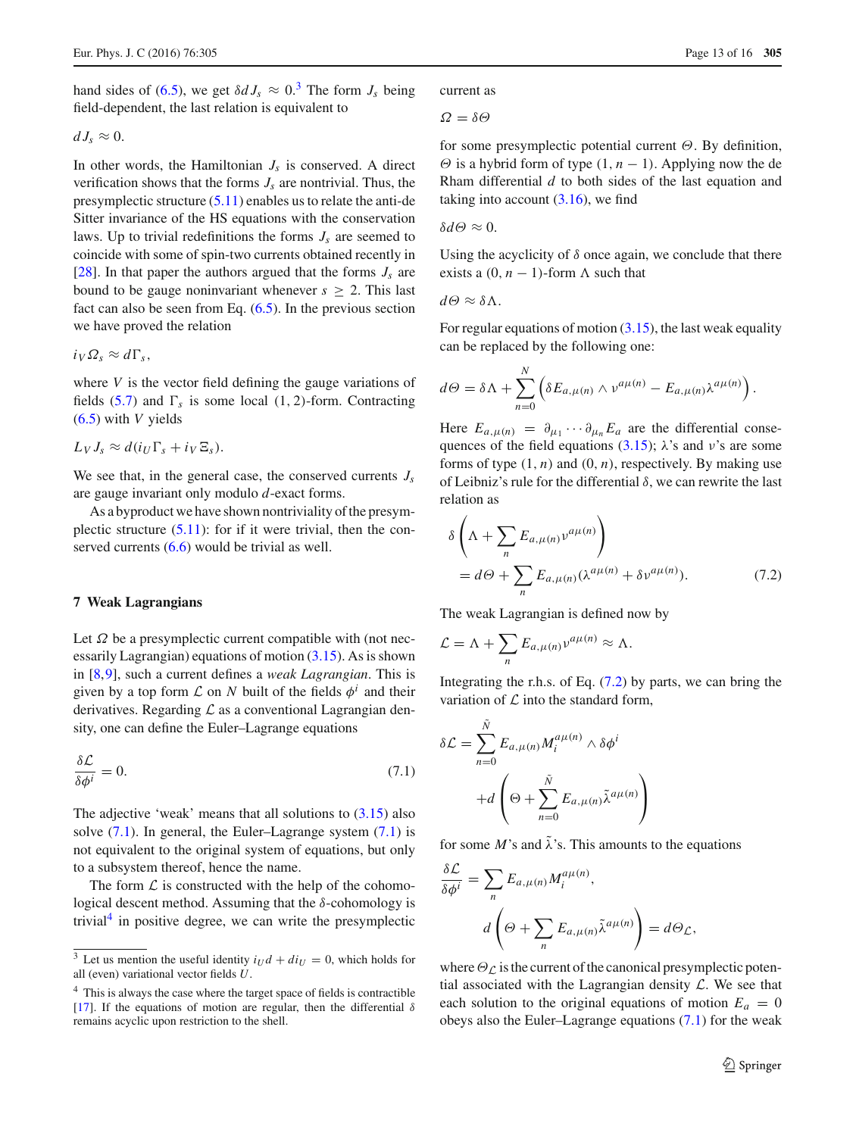hand sides of [\(6.5\)](#page-11-3), we get  $\delta dJ_s \approx 0.3$  $\delta dJ_s \approx 0.3$  The form  $J_s$  being field-dependent, the last relation is equivalent to

$$
dJ_s\approx 0.
$$

In other words, the Hamiltonian  $J_s$  is conserved. A direct verification shows that the forms  $J_s$  are nontrivial. Thus, the presymplectic structure [\(5.11\)](#page-10-5) enables us to relate the anti-de Sitter invariance of the HS equations with the conservation laws. Up to trivial redefinitions the forms  $J_s$  are seemed to coincide with some of spin-two currents obtained recently in [ $28$ ]. In that paper the authors argued that the forms  $J_s$  are bound to be gauge noninvariant whenever  $s \geq 2$ . This last fact can also be seen from Eq.  $(6.5)$ . In the previous section we have proved the relation

$$
i_V \Omega_s \approx d\Gamma_s,
$$

where *V* is the vector field defining the gauge variations of fields  $(5.7)$  and  $\Gamma_s$  is some local  $(1, 2)$ -form. Contracting [\(6.5\)](#page-11-3) with *V* yields

$$
L_V J_s \approx d(i_U \Gamma_s + i_V \Xi_s).
$$

We see that, in the general case, the conserved currents  $J_s$ are gauge invariant only modulo *d*-exact forms.

As a byproduct we have shown nontriviality of the presymplectic structure  $(5.11)$ : for if it were trivial, then the conserved currents  $(6.6)$  would be trivial as well.

## <span id="page-12-0"></span>**7 Weak Lagrangians**

Let  $\Omega$  be a presymplectic current compatible with (not necessarily Lagrangian) equations of motion [\(3.15\)](#page-5-1). As is shown in [\[8](#page-14-7)[,9](#page-14-8)], such a current defines a *weak Lagrangian*. This is given by a top form  $\mathcal L$  on  $N$  built of the fields  $\phi^i$  and their derivatives. Regarding *L* as a conventional Lagrangian density, one can define the Euler–Lagrange equations

$$
\frac{\delta \mathcal{L}}{\delta \phi^i} = 0. \tag{7.1}
$$

The adjective 'weak' means that all solutions to  $(3.15)$  also solve  $(7.1)$ . In general, the Euler–Lagrange system  $(7.1)$  is not equivalent to the original system of equations, but only to a subsystem thereof, hence the name.

The form  $\mathcal L$  is constructed with the help of the cohomological descent method. Assuming that the  $\delta$ -cohomology is trivial $4$  in positive degree, we can write the presymplectic current as

$$
\Omega = \delta \Theta
$$

for some presymplectic potential current  $\Theta$ . By definition,  $\Theta$  is a hybrid form of type  $(1, n - 1)$ . Applying now the de Rham differential *d* to both sides of the last equation and taking into account  $(3.16)$ , we find

δ*d*Θ ≈ 0.

Using the acyclicity of  $\delta$  once again, we conclude that there exists a  $(0, n - 1)$ -form  $\Lambda$  such that

$$
d\Theta\approx\delta\Lambda.
$$

For regular equations of motion  $(3.15)$ , the last weak equality can be replaced by the following one:

$$
d\Theta = \delta\Lambda + \sum_{n=0}^N \left( \delta E_{a,\mu(n)} \wedge v^{a\mu(n)} - E_{a,\mu(n)} \lambda^{a\mu(n)} \right).
$$

Here  $E_{a,\mu(n)} = \partial_{\mu_1} \cdots \partial_{\mu_n} E_a$  are the differential conse-quences of the field equations [\(3.15\)](#page-5-1);  $\lambda$ 's and  $\nu$ 's are some forms of type  $(1, n)$  and  $(0, n)$ , respectively. By making use of Leibniz's rule for the differential  $\delta$ , we can rewrite the last relation as

<span id="page-12-4"></span>
$$
\delta \left( \Lambda + \sum_{n} E_{a,\mu(n)} v^{a\mu(n)} \right)
$$
  
=  $d\Theta + \sum_{n} E_{a,\mu(n)} (\lambda^{a\mu(n)} + \delta v^{a\mu(n)}).$  (7.2)

The weak Lagrangian is defined now by

$$
\mathcal{L} = \Lambda + \sum_{n} E_{a,\mu(n)} \nu^{a\mu(n)} \approx \Lambda.
$$

Integrating the r.h.s. of Eq.  $(7.2)$  by parts, we can bring the variation of *L* into the standard form,

<span id="page-12-2"></span>
$$
\delta \mathcal{L} = \sum_{n=0}^{\tilde{N}} E_{a,\mu(n)} M_i^{a\mu(n)} \wedge \delta \phi^i
$$

$$
+ d \left( \Theta + \sum_{n=0}^{\tilde{N}} E_{a,\mu(n)} \tilde{\lambda}^{a\mu(n)} \right)
$$

for some  $M$ 's and  $\tilde{\lambda}$ 's. This amounts to the equations

$$
\frac{\delta \mathcal{L}}{\delta \phi^i} = \sum_n E_{a,\mu(n)} M_i^{a\mu(n)},
$$

$$
d\left(\Theta + \sum_n E_{a,\mu(n)} \tilde{\lambda}^{a\mu(n)}\right) = d\Theta \mathcal{L},
$$

where  $\Theta_\mathcal{L}$  is the current of the canonical presymplectic potential associated with the Lagrangian density *L*. We see that each solution to the original equations of motion  $E_a = 0$ obeys also the Euler–Lagrange equations [\(7.1\)](#page-12-2) for the weak

<span id="page-12-1"></span><sup>&</sup>lt;sup>3</sup> Let us mention the useful identity  $i_Ud + di_U = 0$ , which holds for all (even) variational vector fields *U*.

<span id="page-12-3"></span><sup>&</sup>lt;sup>4</sup> This is always the case where the target space of fields is contractible [\[17](#page-14-16)]. If the equations of motion are regular, then the differential  $\delta$ remains acyclic upon restriction to the shell.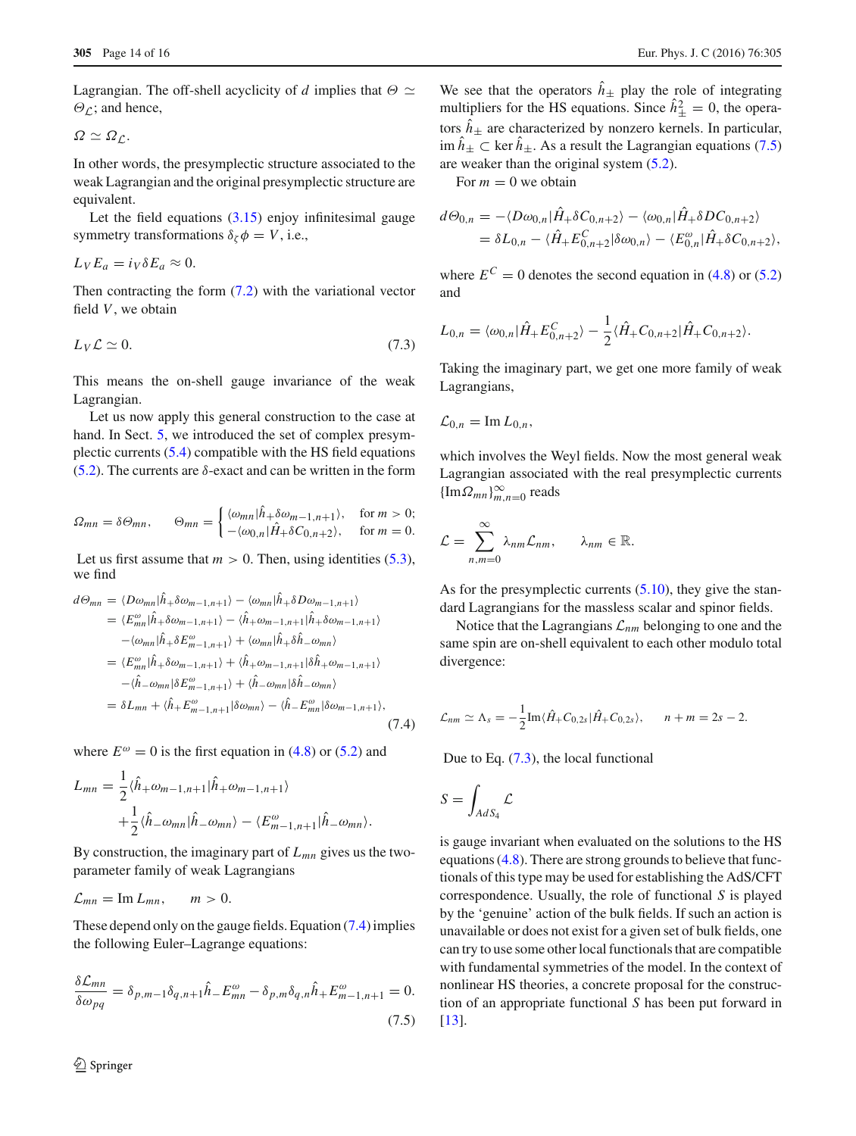Lagrangian. The off-shell acyclicity of *d* implies that  $\Theta \simeq$  $\Theta_L$ ; and hence,

$$
\Omega \simeq \Omega_{\mathcal{L}}.
$$

In other words, the presymplectic structure associated to the weak Lagrangian and the original presymplectic structure are equivalent.

Let the field equations  $(3.15)$  enjoy infinitesimal gauge symmetry transformations  $\delta_{\zeta}\phi = V$ , i.e.,

$$
L_V E_a = i_V \delta E_a \approx 0.
$$

<span id="page-13-2"></span>Then contracting the form  $(7.2)$  with the variational vector field *V*, we obtain

$$
L_V \mathcal{L} \simeq 0. \tag{7.3}
$$

This means the on-shell gauge invariance of the weak Lagrangian.

Let us now apply this general construction to the case at hand. In Sect. [5,](#page-8-0) we introduced the set of complex presymplectic currents [\(5.4\)](#page-9-5) compatible with the HS field equations [\(5.2\)](#page-9-4). The currents are  $\delta$ -exact and can be written in the form

$$
\Omega_{mn} = \delta \Theta_{mn}, \qquad \Theta_{mn} = \begin{cases} \langle \omega_{mn} | \hat{h}_+ \delta \omega_{m-1,n+1} \rangle, & \text{for } m > 0; \\ -\langle \omega_{0,n} | \hat{H}_+ \delta C_{0,n+2} \rangle, & \text{for } m = 0. \end{cases}
$$

Let us first assume that  $m > 0$ . Then, using identities  $(5.3)$ , we find

<span id="page-13-0"></span>
$$
d\Theta_{mn} = \langle D\omega_{mn} | \hat{h}_{+} \delta\omega_{m-1,n+1} \rangle - \langle \omega_{mn} | \hat{h}_{+} \delta D\omega_{m-1,n+1} \rangle
$$
  
\n
$$
= \langle E_{mn}^{\omega} | \hat{h}_{+} \delta\omega_{m-1,n+1} \rangle - \langle \hat{h}_{+} \omega_{m-1,n+1} | \hat{h}_{+} \delta\omega_{m-1,n+1} \rangle
$$
  
\n
$$
- \langle \omega_{mn} | \hat{h}_{+} \delta E_{m-1,n+1}^{\omega} \rangle + \langle \omega_{mn} | \hat{h}_{+} \delta \hat{h}_{-} \omega_{mn} \rangle
$$
  
\n
$$
= \langle E_{mn}^{\omega} | \hat{h}_{+} \delta\omega_{m-1,n+1} \rangle + \langle \hat{h}_{+} \omega_{m-1,n+1} | \delta \hat{h}_{+} \omega_{m-1,n+1} \rangle
$$
  
\n
$$
- \langle \hat{h}_{-} \omega_{mn} | \delta E_{m-1,n+1}^{\omega} \rangle + \langle \hat{h}_{-} \omega_{mn} | \delta \hat{h}_{-} \omega_{mn} \rangle
$$
  
\n
$$
= \delta L_{mn} + \langle \hat{h}_{+} E_{m-1,n+1}^{\omega} | \delta\omega_{mn} \rangle - \langle \hat{h}_{-} E_{mn}^{\omega} | \delta\omega_{m-1,n+1} \rangle, \tag{7.4}
$$

where  $E^{\omega} = 0$  is the first equation in [\(4.8\)](#page-7-1) or [\(5.2\)](#page-9-4) and

$$
L_{mn} = \frac{1}{2} \langle \hat{h}_{+} \omega_{m-1,n+1} | \hat{h}_{+} \omega_{m-1,n+1} \rangle + \frac{1}{2} \langle \hat{h}_{-} \omega_{mn} | \hat{h}_{-} \omega_{mn} \rangle - \langle E_{m-1,n+1}^{\omega} | \hat{h}_{-} \omega_{mn} \rangle.
$$

By construction, the imaginary part of *Lmn* gives us the twoparameter family of weak Lagrangians

$$
\mathcal{L}_{mn}=\mathrm{Im}\,L_{mn},\qquad m>0.
$$

These depend only on the gauge fields. Equation [\(7.4\)](#page-13-0) implies the following Euler–Lagrange equations:

$$
\frac{\delta \mathcal{L}_{mn}}{\delta \omega_{pq}} = \delta_{p,m-1} \delta_{q,n+1} \hat{h}_- E_{mn}^{\omega} - \delta_{p,m} \delta_{q,n} \hat{h}_+ E_{m-1,n+1}^{\omega} = 0.
$$
\n(7.5)

We see that the operators  $\hat{h}_+$  play the role of integrating multipliers for the HS equations. Since  $\hat{h}^2_{\pm} = 0$ , the operators  $\hat{h}_+$  are characterized by nonzero kernels. In particular,  $\lim \hat{h}_+ \subset \ker \hat{h}_+$ . As a result the Lagrangian equations [\(7.5\)](#page-13-1) are weaker than the original system [\(5.2\)](#page-9-4).

For  $m = 0$  we obtain

$$
d\Theta_{0,n} = -\langle D\omega_{0,n} | \hat{H}_+\delta C_{0,n+2} \rangle - \langle \omega_{0,n} | \hat{H}_+\delta D C_{0,n+2} \rangle
$$
  
=  $\delta L_{0,n} - \langle \hat{H}_+ E_{0,n+2}^C | \delta \omega_{0,n} \rangle - \langle E_{0,n}^{\omega} | \hat{H}_+ \delta C_{0,n+2} \rangle$ ,

where  $E^C = 0$  denotes the second equation in [\(4.8\)](#page-7-1) or [\(5.2\)](#page-9-4) and

$$
L_{0,n} = \langle \omega_{0,n} | \hat{H}_+ E_{0,n+2}^C \rangle - \frac{1}{2} \langle \hat{H}_+ C_{0,n+2} | \hat{H}_+ C_{0,n+2} \rangle.
$$

Taking the imaginary part, we get one more family of weak Lagrangians,

$$
\mathcal{L}_{0,n}=\operatorname{Im}L_{0,n},
$$

which involves the Weyl fields. Now the most general weak Lagrangian associated with the real presymplectic currents  ${\{\operatorname{Im}\Omega_{mn}\}}_{m,n=0}^{\infty}$  reads

$$
\mathcal{L} = \sum_{n,m=0}^{\infty} \lambda_{nm} \mathcal{L}_{nm}, \qquad \lambda_{nm} \in \mathbb{R}.
$$

As for the presymplectic currents  $(5.10)$ , they give the standard Lagrangians for the massless scalar and spinor fields.

Notice that the Lagrangians *Lnm* belonging to one and the same spin are on-shell equivalent to each other modulo total divergence:

$$
\mathcal{L}_{nm} \simeq \Lambda_s = -\frac{1}{2} \text{Im} \langle \hat{H}_+ C_{0,2s} | \hat{H}_+ C_{0,2s} \rangle, \qquad n + m = 2s - 2.
$$

Due to Eq. [\(7.3\)](#page-13-2), the local functional

$$
S = \int_{AdS_4} \mathcal{L}
$$

<span id="page-13-1"></span>is gauge invariant when evaluated on the solutions to the HS equations [\(4.8\)](#page-7-1). There are strong grounds to believe that functionals of this type may be used for establishing the AdS/CFT correspondence. Usually, the role of functional *S* is played by the 'genuine' action of the bulk fields. If such an action is unavailable or does not exist for a given set of bulk fields, one can try to use some other local functionals that are compatible with fundamental symmetries of the model. In the context of nonlinear HS theories, a concrete proposal for the construction of an appropriate functional *S* has been put forward in [\[13](#page-14-10)].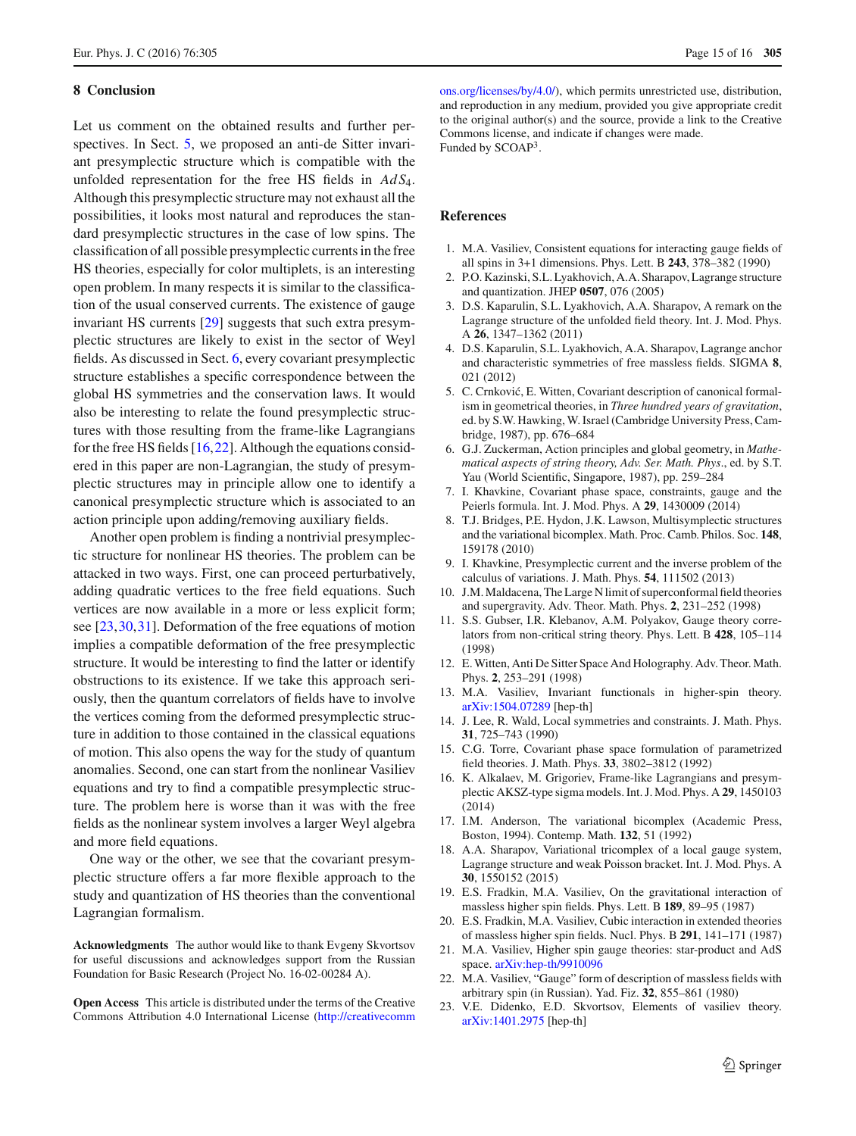#### <span id="page-14-11"></span>**8 Conclusion**

Let us comment on the obtained results and further perspectives. In Sect. [5,](#page-8-0) we proposed an anti-de Sitter invariant presymplectic structure which is compatible with the unfolded representation for the free HS fields in *Ad S*4. Although this presymplectic structure may not exhaust all the possibilities, it looks most natural and reproduces the standard presymplectic structures in the case of low spins. The classification of all possible presymplectic currents in the free HS theories, especially for color multiplets, is an interesting open problem. In many respects it is similar to the classification of the usual conserved currents. The existence of gauge invariant HS currents [\[29](#page-15-5)] suggests that such extra presymplectic structures are likely to exist in the sector of Weyl fields. As discussed in Sect. [6,](#page-10-0) every covariant presymplectic structure establishes a specific correspondence between the global HS symmetries and the conservation laws. It would also be interesting to relate the found presymplectic structures with those resulting from the frame-like Lagrangians for the free HS fields  $[16,22]$  $[16,22]$  $[16,22]$ . Although the equations considered in this paper are non-Lagrangian, the study of presymplectic structures may in principle allow one to identify a canonical presymplectic structure which is associated to an action principle upon adding/removing auxiliary fields.

Another open problem is finding a nontrivial presymplectic structure for nonlinear HS theories. The problem can be attacked in two ways. First, one can proceed perturbatively, adding quadratic vertices to the free field equations. Such vertices are now available in a more or less explicit form; see [\[23](#page-14-14),[30,](#page-15-6)[31\]](#page-15-7). Deformation of the free equations of motion implies a compatible deformation of the free presymplectic structure. It would be interesting to find the latter or identify obstructions to its existence. If we take this approach seriously, then the quantum correlators of fields have to involve the vertices coming from the deformed presymplectic structure in addition to those contained in the classical equations of motion. This also opens the way for the study of quantum anomalies. Second, one can start from the nonlinear Vasiliev equations and try to find a compatible presymplectic structure. The problem here is worse than it was with the free fields as the nonlinear system involves a larger Weyl algebra and more field equations.

One way or the other, we see that the covariant presymplectic structure offers a far more flexible approach to the study and quantization of HS theories than the conventional Lagrangian formalism.

**Acknowledgments** The author would like to thank Evgeny Skvortsov for useful discussions and acknowledges support from the Russian Foundation for Basic Research (Project No. 16-02-00284 A).

**Open Access** This article is distributed under the terms of the Creative Commons Attribution 4.0 International License [\(http://creativecomm](http://creativecommons.org/licenses/by/4.0/) [ons.org/licenses/by/4.0/\)](http://creativecommons.org/licenses/by/4.0/), which permits unrestricted use, distribution, and reproduction in any medium, provided you give appropriate credit to the original author(s) and the source, provide a link to the Creative Commons license, and indicate if changes were made. Funded by SCOAP3.

#### **References**

- <span id="page-14-0"></span>1. M.A. Vasiliev, Consistent equations for interacting gauge fields of all spins in 3+1 dimensions. Phys. Lett. B **243**, 378–382 (1990)
- <span id="page-14-1"></span>2. P.O. Kazinski, S.L. Lyakhovich, A.A. Sharapov, Lagrange structure and quantization. JHEP **0507**, 076 (2005)
- <span id="page-14-2"></span>3. D.S. Kaparulin, S.L. Lyakhovich, A.A. Sharapov, A remark on the Lagrange structure of the unfolded field theory. Int. J. Mod. Phys. A **26**, 1347–1362 (2011)
- <span id="page-14-3"></span>4. D.S. Kaparulin, S.L. Lyakhovich, A.A. Sharapov, Lagrange anchor and characteristic symmetries of free massless fields. SIGMA **8**, 021 (2012)
- <span id="page-14-4"></span>5. C. Crnković, E. Witten, Covariant description of canonical formalism in geometrical theories, in *Three hundred years of gravitation*, ed. by S.W. Hawking, W. Israel (Cambridge University Press, Cambridge, 1987), pp. 676–684
- <span id="page-14-5"></span>6. G.J. Zuckerman, Action principles and global geometry, in *Mathematical aspects of string theory, Adv. Ser. Math. Phys*., ed. by S.T. Yau (World Scientific, Singapore, 1987), pp. 259–284
- <span id="page-14-6"></span>7. I. Khavkine, Covariant phase space, constraints, gauge and the Peierls formula. Int. J. Mod. Phys. A **29**, 1430009 (2014)
- <span id="page-14-7"></span>8. T.J. Bridges, P.E. Hydon, J.K. Lawson, Multisymplectic structures and the variational bicomplex. Math. Proc. Camb. Philos. Soc. **148**, 159178 (2010)
- <span id="page-14-8"></span>9. I. Khavkine, Presymplectic current and the inverse problem of the calculus of variations. J. Math. Phys. **54**, 111502 (2013)
- <span id="page-14-9"></span>10. J.M. Maldacena, The Large N limit of superconformal field theories and supergravity. Adv. Theor. Math. Phys. **2**, 231–252 (1998)
- 11. S.S. Gubser, I.R. Klebanov, A.M. Polyakov, Gauge theory correlators from non-critical string theory. Phys. Lett. B **428**, 105–114 (1998)
- 12. E. Witten, Anti De Sitter Space And Holography. Adv. Theor. Math. Phys. **2**, 253–291 (1998)
- <span id="page-14-10"></span>13. M.A. Vasiliev, Invariant functionals in higher-spin theory. [arXiv:1504.07289](http://arxiv.org/abs/1504.07289) [hep-th]
- <span id="page-14-12"></span>14. J. Lee, R. Wald, Local symmetries and constraints. J. Math. Phys. **31**, 725–743 (1990)
- <span id="page-14-13"></span>15. C.G. Torre, Covariant phase space formulation of parametrized field theories. J. Math. Phys. **33**, 3802–3812 (1992)
- <span id="page-14-15"></span>16. K. Alkalaev, M. Grigoriev, Frame-like Lagrangians and presymplectic AKSZ-type sigma models. Int. J. Mod. Phys. A **29**, 1450103 (2014)
- <span id="page-14-16"></span>17. I.M. Anderson, The variational bicomplex (Academic Press, Boston, 1994). Contemp. Math. **132**, 51 (1992)
- <span id="page-14-17"></span>18. A.A. Sharapov, Variational tricomplex of a local gauge system, Lagrange structure and weak Poisson bracket. Int. J. Mod. Phys. A **30**, 1550152 (2015)
- <span id="page-14-18"></span>19. E.S. Fradkin, M.A. Vasiliev, On the gravitational interaction of massless higher spin fields. Phys. Lett. B **189**, 89–95 (1987)
- <span id="page-14-19"></span>20. E.S. Fradkin, M.A. Vasiliev, Cubic interaction in extended theories of massless higher spin fields. Nucl. Phys. B **291**, 141–171 (1987)
- <span id="page-14-20"></span>21. M.A. Vasiliev, Higher spin gauge theories: star-product and AdS space. [arXiv:hep-th/9910096](http://arxiv.org/abs/hep-th/9910096)
- <span id="page-14-21"></span>22. M.A. Vasiliev, "Gauge" form of description of massless fields with arbitrary spin (in Russian). Yad. Fiz. **32**, 855–861 (1980)
- <span id="page-14-14"></span>23. V.E. Didenko, E.D. Skvortsov, Elements of vasiliev theory. [arXiv:1401.2975](http://arxiv.org/abs/1401.2975) [hep-th]